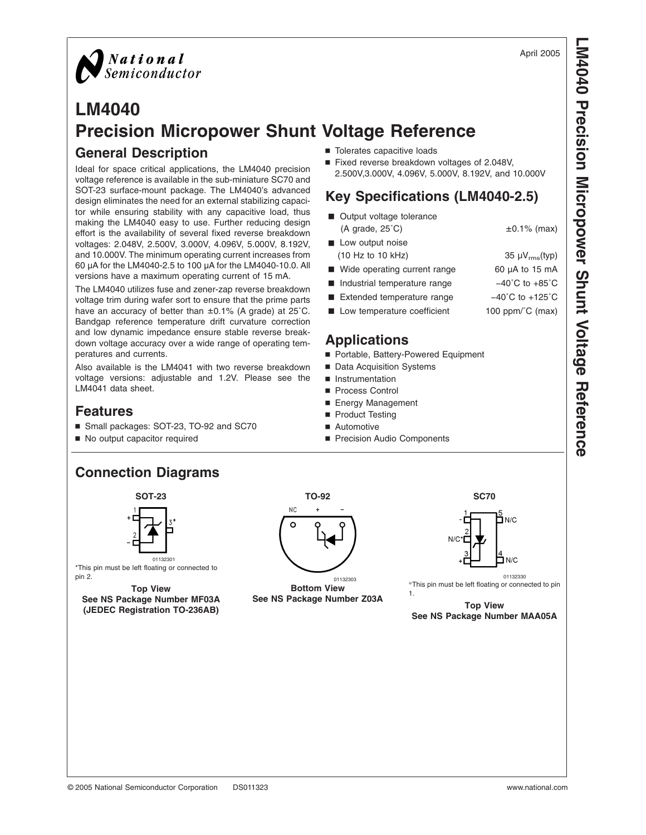**Precision**

**Micropower**

 **Shunt Voltage** 

**Reference**

April 2005



#### **LM4040 Precision Micropower Shunt Voltage Reference General Description** ■ Tolerates capacitive loads

Ideal for space critical applications, the LM4040 precision voltage reference is available in the sub-miniature SC70 and SOT-23 surface-mount package. The LM4040's advanced design eliminates the need for an external stabilizing capacitor while ensuring stability with any capacitive load, thus making the LM4040 easy to use. Further reducing design effort is the availability of several fixed reverse breakdown voltages: 2.048V, 2.500V, 3.000V, 4.096V, 5.000V, 8.192V, and 10.000V. The minimum operating current increases from 60 µA for the LM4040-2.5 to 100 µA for the LM4040-10.0. All versions have a maximum operating current of 15 mA.

The LM4040 utilizes fuse and zener-zap reverse breakdown voltage trim during wafer sort to ensure that the prime parts have an accuracy of better than ±0.1% (A grade) at 25˚C. Bandgap reference temperature drift curvature correction and low dynamic impedance ensure stable reverse breakdown voltage accuracy over a wide range of operating temperatures and currents.

Also available is the LM4041 with two reverse breakdown voltage versions: adjustable and 1.2V. Please see the LM4041 data sheet.

#### **Features**

- Small packages: SOT-23, TO-92 and SC70
- No output capacitor required

■ Fixed reverse breakdown voltages of 2.048V, 2.500V,3.000V, 4.096V, 5.000V, 8.192V, and 10.000V

#### **Key Specifications (LM4040-2.5)**

- Output voltage tolerance  $(A \text{ grade}, 25^{\circ} \text{C})$   $\pm 0.1\%$  (max) **Low output noise**
- (10 Hz to 10 kHz)  $35 \mu V_{rms} (typ)$
- Wide operating current range 60 µA to 15 mA ■ Industrial temperature range  $-40^{\circ}$ C to +85<sup>°</sup>C
- 
- Extended temperature range  $-40^{\circ}$ C to +125<sup>°</sup>C
- $\blacksquare$  Low temperature coefficient 100 ppm/ $\degree$ C (max)

#### **Applications**

- Portable, Battery-Powered Equipment
- Data Acquisition Systems
- **Instrumentation**
- Process Control
- Energy Management
- Product Testing
- Automotive
- Precision Audio Components

#### **Connection Diagrams**

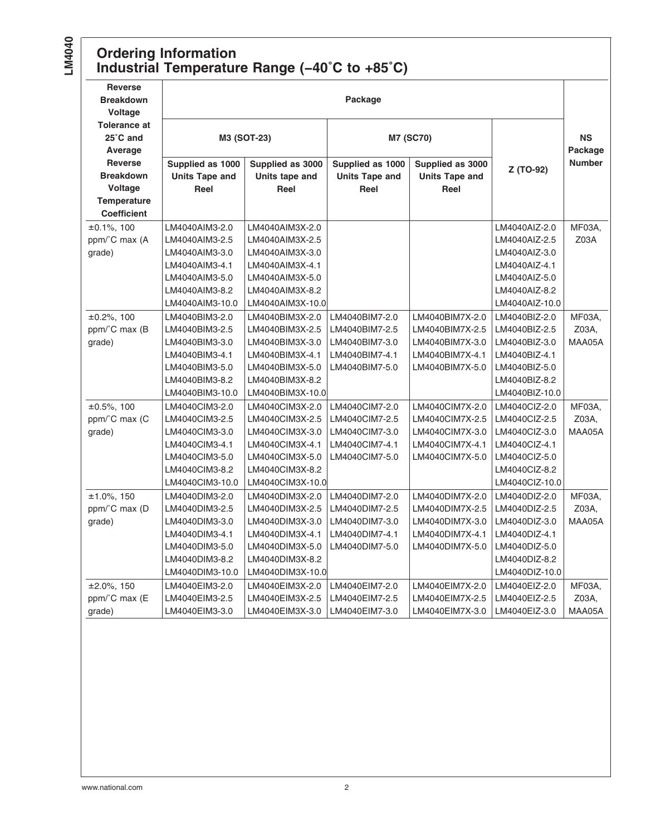#### **Ordering Information Industrial Temperature Range (−40˚C to +85˚C)**

| <b>Reverse</b><br><b>Breakdown</b><br><b>Voltage</b> | Package               |                  |                       |                       |                |                      |  |
|------------------------------------------------------|-----------------------|------------------|-----------------------|-----------------------|----------------|----------------------|--|
| <b>Tolerance at</b><br>25°C and<br>Average           |                       | M3 (SOT-23)      |                       | <b>M7 (SC70)</b>      |                | <b>NS</b><br>Package |  |
| <b>Reverse</b>                                       | Supplied as 1000      | Supplied as 3000 | Supplied as 1000      | Supplied as 3000      |                | <b>Number</b>        |  |
| <b>Breakdown</b>                                     | <b>Units Tape and</b> | Units tape and   | <b>Units Tape and</b> | <b>Units Tape and</b> | Z (TO-92)      |                      |  |
| Voltage                                              | Reel                  | Reel             | Reel                  | Reel                  |                |                      |  |
| Temperature                                          |                       |                  |                       |                       |                |                      |  |
| <b>Coefficient</b>                                   |                       |                  |                       |                       |                |                      |  |
| $±0.1\%$ , 100                                       | LM4040AIM3-2.0        | LM4040AIM3X-2.0  |                       |                       | LM4040AIZ-2.0  | MF03A,               |  |
| ppm/°C max (A                                        | LM4040AIM3-2.5        | LM4040AIM3X-2.5  |                       |                       | LM4040AIZ-2.5  | Z03A                 |  |
| grade)                                               | LM4040AIM3-3.0        | LM4040AIM3X-3.0  |                       |                       | LM4040AIZ-3.0  |                      |  |
|                                                      | LM4040AIM3-4.1        | LM4040AIM3X-4.1  |                       |                       | LM4040AIZ-4.1  |                      |  |
|                                                      | LM4040AIM3-5.0        | LM4040AIM3X-5.0  |                       |                       | LM4040AIZ-5.0  |                      |  |
|                                                      | LM4040AIM3-8.2        | LM4040AIM3X-8.2  |                       |                       | LM4040AIZ-8.2  |                      |  |
|                                                      | LM4040AIM3-10.0       | LM4040AIM3X-10.0 |                       |                       | LM4040AIZ-10.0 |                      |  |
| $\pm 0.2\%$ , 100                                    | LM4040BIM3-2.0        | LM4040BIM3X-2.0  | LM4040BIM7-2.0        | LM4040BIM7X-2.0       | LM4040BIZ-2.0  | MF03A,               |  |
| ppm/°C max (B                                        | LM4040BIM3-2.5        | LM4040BIM3X-2.5  | LM4040BIM7-2.5        | LM4040BIM7X-2.5       | LM4040BIZ-2.5  | Z03A,                |  |
| grade)                                               | LM4040BIM3-3.0        | LM4040BIM3X-3.0  | LM4040BIM7-3.0        | LM4040BIM7X-3.0       | LM4040BIZ-3.0  | MAA05A               |  |
|                                                      | LM4040BIM3-4.1        | LM4040BIM3X-4.1  | LM4040BIM7-4.1        | LM4040BIM7X-4.1       | LM4040BIZ-4.1  |                      |  |
|                                                      | LM4040BIM3-5.0        | LM4040BIM3X-5.0  | LM4040BIM7-5.0        | LM4040BIM7X-5.0       | LM4040BIZ-5.0  |                      |  |
|                                                      | LM4040BIM3-8.2        | LM4040BIM3X-8.2  |                       |                       | LM4040BIZ-8.2  |                      |  |
|                                                      | LM4040BIM3-10.0       | LM4040BIM3X-10.0 |                       |                       | LM4040BIZ-10.0 |                      |  |
| $±0.5\%$ , 100                                       | LM4040CIM3-2.0        | LM4040CIM3X-2.0  | LM4040CIM7-2.0        | LM4040CIM7X-2.0       | LM4040ClZ-2.0  | MF03A.               |  |
| ppm/°C max (C                                        | LM4040CIM3-2.5        | LM4040CIM3X-2.5  | LM4040CIM7-2.5        | LM4040CIM7X-2.5       | LM4040ClZ-2.5  | Z03A,                |  |
| grade)                                               | LM4040CIM3-3.0        | LM4040CIM3X-3.0  | LM4040CIM7-3.0        | LM4040CIM7X-3.0       | LM4040ClZ-3.0  | MAA05A               |  |
|                                                      | LM4040CIM3-4.1        | LM4040CIM3X-4.1  | LM4040CIM7-4.1        | LM4040CIM7X-4.1       | LM4040ClZ-4.1  |                      |  |
|                                                      | LM4040CIM3-5.0        | LM4040CIM3X-5.0  | LM4040CIM7-5.0        | LM4040CIM7X-5.0       | LM4040ClZ-5.0  |                      |  |
|                                                      | LM4040CIM3-8.2        | LM4040CIM3X-8.2  |                       |                       | LM4040ClZ-8.2  |                      |  |
|                                                      | LM4040CIM3-10.0       | LM4040CIM3X-10.0 |                       |                       | LM4040ClZ-10.0 |                      |  |
| $±1.0\%$ , 150                                       | LM4040DIM3-2.0        | LM4040DIM3X-2.0  | LM4040DIM7-2.0        | LM4040DIM7X-2.0       | LM4040DIZ-2.0  | <b>MF03A,</b>        |  |
| ppm/°C max (D                                        | LM4040DIM3-2.5        | LM4040DIM3X-2.5  | LM4040DIM7-2.5        | LM4040DIM7X-2.5       | LM4040DIZ-2.5  | Z03A,                |  |
| grade)                                               | LM4040DIM3-3.0        | LM4040DIM3X-3.0  | LM4040DIM7-3.0        | LM4040DIM7X-3.0       | LM4040DIZ-3.0  | MAA05A               |  |
|                                                      | LM4040DIM3-4.1        | LM4040DIM3X-4.1  | LM4040DIM7-4.1        | LM4040DIM7X-4.1       | LM4040DIZ-4.1  |                      |  |
|                                                      | LM4040DIM3-5.0        | LM4040DIM3X-5.0  | LM4040DIM7-5.0        | LM4040DIM7X-5.0       | LM4040DIZ-5.0  |                      |  |
|                                                      | LM4040DIM3-8.2        | LM4040DIM3X-8.2  |                       |                       | LM4040DIZ-8.2  |                      |  |
|                                                      | LM4040DIM3-10.0       | LM4040DIM3X-10.0 |                       |                       | LM4040DIZ-10.0 |                      |  |
| $±2.0\%$ , 150                                       | LM4040EIM3-2.0        | LM4040EIM3X-2.0  | LM4040EIM7-2.0        | LM4040EIM7X-2.0       | LM4040EIZ-2.0  | MF03A,               |  |
| ppm/°C max (E                                        | LM4040EIM3-2.5        | LM4040EIM3X-2.5  | LM4040EIM7-2.5        | LM4040EIM7X-2.5       | LM4040EIZ-2.5  | Z03A,                |  |
| grade)                                               | LM4040EIM3-3.0        | LM4040EIM3X-3.0  | LM4040EIM7-3.0        | LM4040EIM7X-3.0       | LM4040EIZ-3.0  | MAA05A               |  |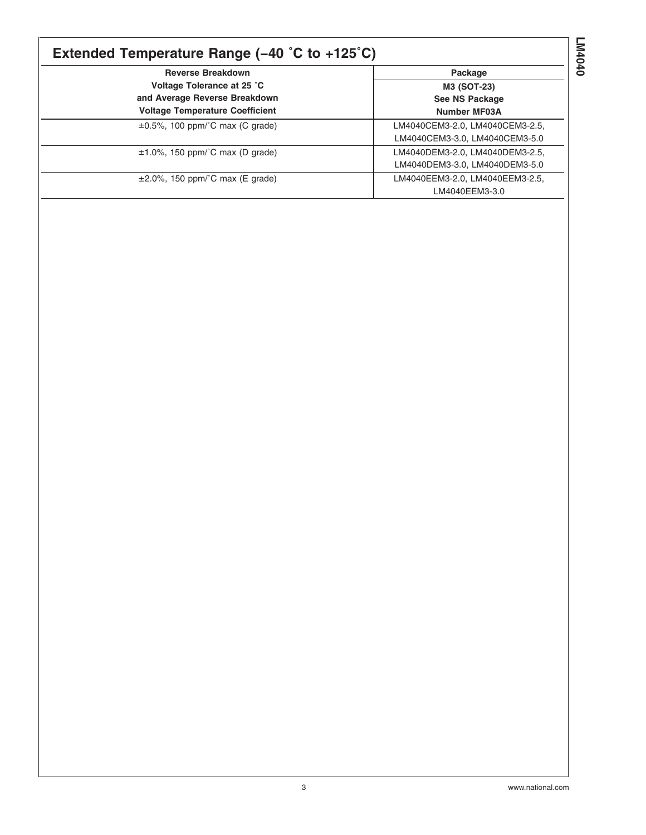### **Extended Temperature Range (−40 ˚C to +125˚C)**

| <b>Reverse Breakdown</b>               | Package                         |
|----------------------------------------|---------------------------------|
| Voltage Tolerance at 25 °C             | M3 (SOT-23)                     |
| and Average Reverse Breakdown          | See NS Package                  |
| <b>Voltage Temperature Coefficient</b> | <b>Number MF03A</b>             |
| $\pm 0.5$ %, 100 ppm/°C max (C grade)  | LM4040CEM3-2.0, LM4040CEM3-2.5, |
|                                        | LM4040CEM3-3.0, LM4040CEM3-5.0  |
| $\pm$ 1.0%, 150 ppm/°C max (D grade)   | LM4040DEM3-2.0, LM4040DEM3-2.5, |
|                                        | LM4040DEM3-3.0, LM4040DEM3-5.0  |
| $\pm 2.0\%$ , 150 ppm/°C max (E grade) | LM4040EEM3-2.0, LM4040EEM3-2.5, |
|                                        | LM4040EEM3-3.0                  |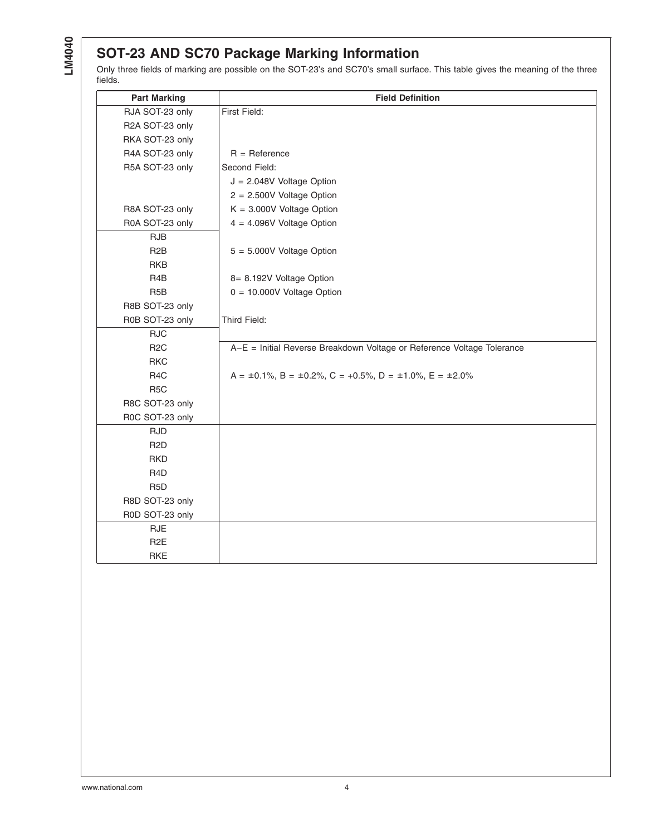#### **SOT-23 AND SC70 Package Marking Information**

Only three fields of marking are possible on the SOT-23's and SC70's small surface. This table gives the meaning of the three fields.

| <b>Part Marking</b> | <b>Field Definition</b>                                                              |
|---------------------|--------------------------------------------------------------------------------------|
| RJA SOT-23 only     | First Field:                                                                         |
| R2A SOT-23 only     |                                                                                      |
| RKA SOT-23 only     |                                                                                      |
| R4A SOT-23 only     | $R =$ Reference                                                                      |
| R5A SOT-23 only     | Second Field:                                                                        |
|                     | $J = 2.048V$ Voltage Option                                                          |
|                     | $2 = 2.500V$ Voltage Option                                                          |
| R8A SOT-23 only     | $K = 3.000V$ Voltage Option                                                          |
| R0A SOT-23 only     | $4 = 4.096V$ Voltage Option                                                          |
| <b>RJB</b>          |                                                                                      |
| R <sub>2</sub> B    | $5 = 5.000V$ Voltage Option                                                          |
| RKB                 |                                                                                      |
| R4B                 | 8= 8.192V Voltage Option                                                             |
| R <sub>5</sub> B    | $0 = 10.000V$ Voltage Option                                                         |
| R8B SOT-23 only     |                                                                                      |
| R0B SOT-23 only     | Third Field:                                                                         |
| <b>RJC</b>          |                                                                                      |
| R <sub>2</sub> C    | A-E = Initial Reverse Breakdown Voltage or Reference Voltage Tolerance               |
| <b>RKC</b>          |                                                                                      |
| R <sub>4</sub> C    | $A = \pm 0.1\%$ , B = $\pm 0.2\%$ , C = $+0.5\%$ , D = $\pm 1.0\%$ , E = $\pm 2.0\%$ |
| R <sub>5</sub> C    |                                                                                      |
| R8C SOT-23 only     |                                                                                      |
| R0C SOT-23 only     |                                                                                      |
| <b>RJD</b>          |                                                                                      |
| R <sub>2</sub> D    |                                                                                      |
| <b>RKD</b>          |                                                                                      |
| R <sub>4</sub> D    |                                                                                      |
| R <sub>5</sub> D    |                                                                                      |
| R8D SOT-23 only     |                                                                                      |
| R0D SOT-23 only     |                                                                                      |
| <b>RJE</b>          |                                                                                      |
| R <sub>2</sub> E    |                                                                                      |
| <b>RKE</b>          |                                                                                      |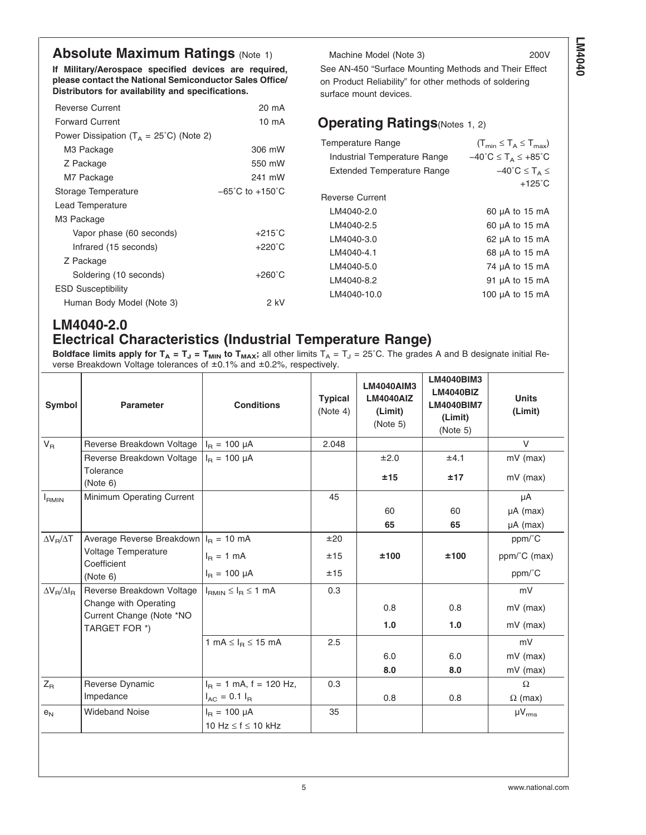#### **Absolute Maximum Ratings [\(Note 1\)](#page-21-0)**

**If Military/Aerospace specified devices are required, please contact the National Semiconductor Sales Office/ Distributors for availability and specifications.**

| <b>Reverse Current</b>                             | 20 mA                               |
|----------------------------------------------------|-------------------------------------|
| <b>Forward Current</b>                             | 10 mA                               |
| Power Dissipation ( $T_A = 25^{\circ}$ C) (Note 2) |                                     |
| M3 Package                                         | 306 mW                              |
| Z Package                                          | 550 mW                              |
| M7 Package                                         | 241 mW                              |
| Storage Temperature                                | $-65^{\circ}$ C to $+150^{\circ}$ C |
| Lead Temperature                                   |                                     |
| M3 Package                                         |                                     |
| Vapor phase (60 seconds)                           | $+215^{\circ}$ C                    |
| Infrared (15 seconds)                              | $+220^{\circ}$ C                    |
| Z Package                                          |                                     |
| Soldering (10 seconds)                             | $+260^{\circ}$ C                    |
| <b>ESD Susceptibility</b>                          |                                     |
| Human Body Model (Note 3)                          | 2 kV                                |

Machine Model [\(Note 3\)](#page-21-0) 200V See AN-450 "Surface Mounting Methods and Their Effect on Product Reliability" for other methods of soldering surface mount devices.

#### **Operating Ratings**(Notes [1, 2\)](#page-21-0)

| <b>Temperature Range</b><br>Industrial Temperature Range<br><b>Extended Temperature Range</b> | $(T_{min} \leq T_A \leq T_{max})$<br>$-40^{\circ}$ C $\leq$ T <sub>A</sub> $\leq$ +85 $^{\circ}$ C<br>$-40^{\circ}C \leq T_A \leq$<br>$+125^\circ$ C |
|-----------------------------------------------------------------------------------------------|------------------------------------------------------------------------------------------------------------------------------------------------------|
| Reverse Current                                                                               |                                                                                                                                                      |
| LM4040-2.0                                                                                    | 60 µA to 15 mA                                                                                                                                       |
| I M4040-2.5                                                                                   | 60 µA to 15 mA                                                                                                                                       |
| LM4040-3.0                                                                                    | 62 µA to 15 mA                                                                                                                                       |
| I M4040-4.1                                                                                   | 68 µA to 15 mA                                                                                                                                       |
| LM4040-5.0                                                                                    | 74 µA to 15 mA                                                                                                                                       |
| LM4040-8.2                                                                                    | 91 µA to 15 mA                                                                                                                                       |
| LM4040-10.0                                                                                   | 100 $\mu$ A to 15 mA                                                                                                                                 |
|                                                                                               |                                                                                                                                                      |

#### **LM4040-2.0 Electrical Characteristics (Industrial Temperature Range)**

**Boldface limits apply for T<sub>A</sub> = T<sub>J</sub> = T<sub>MIN</sub> to T<sub>MAX</sub>; all other limits T<sub>A</sub> = T<sub>J</sub> = 25°C. The grades A and B designate initial Re**verse Breakdown Voltage tolerances of ±0.1% and ±0.2%, respectively.

| Symbol                  | <b>Parameter</b>                                                   | <b>Conditions</b>             | <b>Typical</b><br>(Note 4) | <b>LM4040AIM3</b><br><b>LM4040AIZ</b><br>(Limit)<br>(Note 5) | LM4040BIM3<br><b>LM4040BIZ</b><br><b>LM4040BIM7</b><br>(Limit)<br>(Note 5) | <b>Units</b><br>(Limit) |
|-------------------------|--------------------------------------------------------------------|-------------------------------|----------------------------|--------------------------------------------------------------|----------------------------------------------------------------------------|-------------------------|
| $V_R$                   | Reverse Breakdown Voltage                                          | $I_B = 100 \mu A$             | 2.048                      |                                                              |                                                                            | $\vee$                  |
|                         | Reverse Breakdown Voltage                                          | $I_{B} = 100 \mu A$           |                            | ±2.0                                                         | ±4.1                                                                       | $mV$ (max)              |
|                         | Tolerance<br>(Note 6)                                              |                               |                            | ±15                                                          | ±17                                                                        | $mV$ (max)              |
| $I_{RMIN}$              | Minimum Operating Current                                          |                               | 45                         |                                                              |                                                                            | μA                      |
|                         |                                                                    |                               |                            | 60                                                           | 60                                                                         | $\mu A$ (max)           |
|                         |                                                                    |                               |                            | 65                                                           | 65                                                                         | $\mu A$ (max)           |
| $\Delta V_B/\Delta T$   | Average Reverse Breakdown $IB = 10$ mA                             |                               | ±20                        |                                                              |                                                                            | ppm/C                   |
| Voltage Temperature     | Coefficient                                                        | $I_B = 1 mA$                  | ±15                        | ±100                                                         | ±100                                                                       | ppm/°C (max)            |
|                         | (Note 6)                                                           | $I_B = 100 \mu A$             | ±15                        |                                                              |                                                                            | ppm/°C                  |
| $\Delta V_B/\Delta I_B$ | Reverse Breakdown Voltage                                          | $I_{RMIN} \leq I_R \leq 1$ mA | 0.3                        |                                                              |                                                                            | mV                      |
|                         | Change with Operating<br>Current Change (Note *NO<br>TARGET FOR *) |                               |                            | 0.8                                                          | 0.8                                                                        | $mV$ (max)              |
|                         |                                                                    |                               |                            | 1.0                                                          | 1.0                                                                        | $mV$ (max)              |
|                         |                                                                    | 1 mA $\leq$ $IB$ $\leq$ 15 mA | 2.5                        |                                                              |                                                                            | mV                      |
|                         |                                                                    |                               |                            | 6.0                                                          | 6.0                                                                        | $mV$ (max)              |
|                         |                                                                    |                               |                            | 8.0                                                          | 8.0                                                                        | $mV$ (max)              |
| $Z_{\mathsf{R}}$        | Reverse Dynamic                                                    | $I_B = 1$ mA, f = 120 Hz,     | 0.3                        |                                                              |                                                                            | $\Omega$                |
|                         | Impedance                                                          | $I_{AC} = 0.1 I_{B}$          |                            | 0.8                                                          | 0.8                                                                        | $\Omega$ (max)          |
| e <sub>N</sub>          | <b>Wideband Noise</b>                                              | $I_R = 100 \mu A$             | 35                         |                                                              |                                                                            | $\mu V_{rms}$           |
|                         |                                                                    | 10 Hz $\leq$ f $\leq$ 10 kHz  |                            |                                                              |                                                                            |                         |
|                         |                                                                    |                               |                            |                                                              |                                                                            |                         |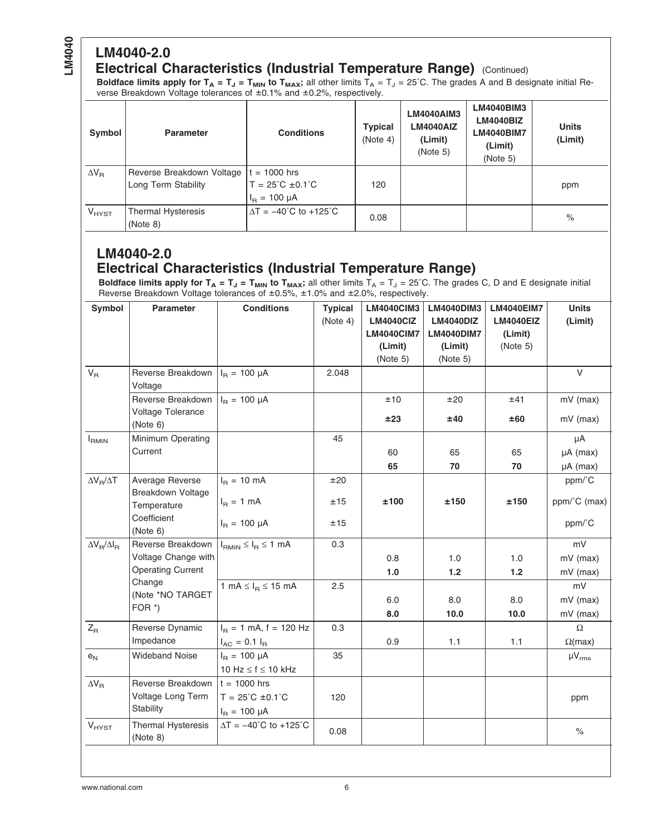# **LM4040-2.0**

#### **Electrical Characteristics (Industrial Temperature Range)** (Continued)

**Boldface limits apply for T<sub>A</sub> = T<sub>J</sub> = T<sub>MIN</sub> to T<sub>MAX</sub>;** all other limits T<sub>A</sub> = T<sub>J</sub> = 25°C. The grades A and B designate initial Reverse Breakdown Voltage tolerances of ±0.1% and ±0.2%, respectively.

| Symbol       | <b>Parameter</b>                                 | <b>Conditions</b>                                                               | <b>Typical</b><br>(Note 4) | LM4040AIM3<br><b>LM4040AIZ</b><br>(Limit)<br>(Note 5) | <b>LM4040BIM3</b><br><b>LM4040BIZ</b><br><b>LM4040BIM7</b><br>(Limit)<br>(Note 5) | <b>Units</b><br>(Limit) |
|--------------|--------------------------------------------------|---------------------------------------------------------------------------------|----------------------------|-------------------------------------------------------|-----------------------------------------------------------------------------------|-------------------------|
| $\Delta V_R$ | Reverse Breakdown Voltage<br>Long Term Stability | l t = 1000 hrs<br>$T = 25^{\circ}C \pm 0.1^{\circ}C$<br>$I_{\rm B} = 100 \mu A$ | 120                        |                                                       |                                                                                   | ppm                     |
| $V_{H YST}$  | <b>Thermal Hysteresis</b><br>(Note 8)            | $\Delta T = -40^{\circ}C$ to $+125^{\circ}C$                                    | 0.08                       |                                                       |                                                                                   | $\%$                    |

#### **LM4040-2.0 Electrical Characteristics (Industrial Temperature Range)**

**Boldface limits apply for T<sub>A</sub> = T<sub>J</sub> = T<sub>MIN</sub> to T<sub>MAX</sub>;** all other limits T<sub>A</sub> = T<sub>J</sub> = 25˚C. The grades C, D and E designate initial Reverse Breakdown Voltage tolerances of ±0.5%, ±1.0% and ±2.0%, respectively.

| Symbol                  | <b>Parameter</b>                            | <b>Conditions</b>                   | <b>Typical</b> | <b>LM4040CIM3</b> | <b>LM4040DIM3</b> | <b>LM4040EIM7</b> | <b>Units</b>   |
|-------------------------|---------------------------------------------|-------------------------------------|----------------|-------------------|-------------------|-------------------|----------------|
|                         |                                             |                                     | (Note 4)       | <b>LM4040ClZ</b>  | <b>LM4040DIZ</b>  | LM4040EIZ         | (Limit)        |
|                         |                                             |                                     |                | <b>LM4040CIM7</b> | <b>LM4040DIM7</b> | (Limit)           |                |
|                         |                                             |                                     |                | (Limit)           | (Limit)           | (Note 5)          |                |
|                         |                                             |                                     |                | (Note 5)          | (Note 5)          |                   |                |
| $V_{\rm R}$             | Reverse Breakdown<br>Voltage                | $I_R = 100 \mu A$                   | 2.048          |                   |                   |                   | $\vee$         |
|                         | Reverse Breakdown                           | $I_B = 100 \mu A$                   |                | ±10               | ±20               | ±41               | mV (max)       |
|                         | Voltage Tolerance<br>(Note 6)               |                                     |                | ±23               | ±40               | ±60               | $mV$ (max)     |
| $I_{RMIN}$              | Minimum Operating                           |                                     | 45             |                   |                   |                   | μA             |
|                         | Current                                     |                                     |                | 60                | 65                | 65                | $\mu A$ (max)  |
|                         |                                             |                                     |                | 65                | 70                | 70                | µA (max)       |
| $\Delta V_R/\Delta T$   | Average Reverse<br><b>Breakdown Voltage</b> | $I_R = 10$ mA                       | ±20            |                   |                   |                   | ppm/°C         |
|                         | Temperature                                 | $I_B = 1$ mA                        | ±15            | ±100              | ±150              | ±150              | ppm/°C (max)   |
|                         | Coefficient<br>(Note 6)                     | $I_R = 100 \mu A$                   | ±15            |                   |                   |                   | ppm/°C         |
| $\Delta V_B/\Delta I_B$ | Reverse Breakdown                           | $I_{RMIN} \leq I_R \leq 1$ mA       | 0.3            |                   |                   |                   | mV             |
|                         | Voltage Change with                         |                                     |                | 0.8               | 1.0               | 1.0               | mV (max)       |
|                         | <b>Operating Current</b>                    |                                     |                | 1.0               | $1.2$             | 1.2               | mV (max)       |
|                         | Change                                      | 1 mA $\leq$ $I_B \leq$ 15 mA        | 2.5            |                   |                   |                   | mV             |
|                         | (Note *NO TARGET<br>FOR $*$ )               |                                     |                | 6.0               | 8.0               | 8.0               | mV (max)       |
|                         |                                             |                                     |                | 8.0               | 10.0              | 10.0              | mV (max)       |
| $Z_{\rm R}$             | Reverse Dynamic                             | $I_B = 1$ mA, f = 120 Hz            | 0.3            |                   |                   |                   | $\Omega$       |
|                         | Impedance                                   | $I_{AC} = 0.1 I_{R}$                |                | 0.9               | 1.1               | 1.1               | $\Omega$ (max) |
| $e_N$                   | <b>Wideband Noise</b>                       | $I_B = 100 \mu A$                   | 35             |                   |                   |                   | $\mu V_{rms}$  |
|                         |                                             | 10 Hz $\leq$ f $\leq$ 10 kHz        |                |                   |                   |                   |                |
| $\Delta V_R$            | Reverse Breakdown $ t = 1000$ hrs           |                                     |                |                   |                   |                   |                |
|                         | Voltage Long Term                           | $T = 25^{\circ}C \pm 0.1^{\circ}C$  | 120            |                   |                   |                   | ppm            |
|                         | Stability                                   | $I_R = 100 \mu A$                   |                |                   |                   |                   |                |
| $V_{HYST}$              | <b>Thermal Hysteresis</b><br>(Note 8)       | $\Delta T = -40^{\circ}C$ to +125°C | 0.08           |                   |                   |                   | $\%$           |
|                         |                                             |                                     |                |                   |                   |                   |                |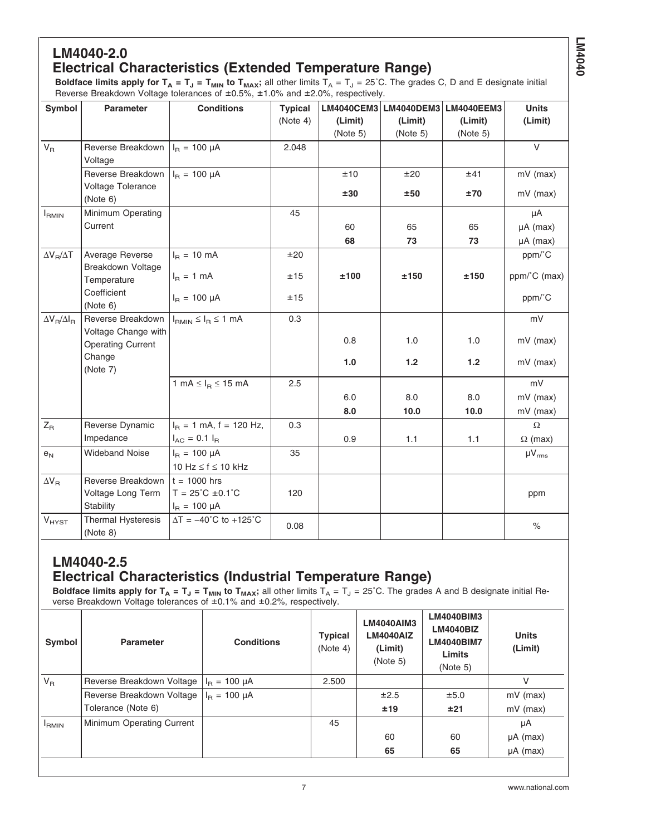#### **LM4040-2.0 Electrical Characteristics (Extended Temperature Range)**

**LM4040**

**Boldface limits apply for T<sub>A</sub> = T<sub>J</sub> = T<sub>MIN</sub> to T<sub>MAX</sub>;** all other limits T<sub>A</sub> = T<sub>J</sub> = 25˚C. The grades C, D and E designate initial Reverse Breakdown Voltage tolerances of ±0.5%, ±1.0% and ±2.0%, respectively.

| Symbol                  | Parameter                                       | <b>Conditions</b>                               | <b>Typical</b> | <b>LM4040CEM3</b> | LM4040DEM3 | <b>LM4040EEM3</b> | <b>Units</b>   |
|-------------------------|-------------------------------------------------|-------------------------------------------------|----------------|-------------------|------------|-------------------|----------------|
|                         |                                                 |                                                 | (Note 4)       | (Limit)           | (Limit)    | (Limit)           | (Limit)        |
|                         |                                                 |                                                 |                | (Note 5)          | (Note 5)   | (Note 5)          |                |
| $\mathsf{V}_\mathsf{R}$ | Reverse Breakdown                               | $I_B = 100 \mu A$                               | 2.048          |                   |            |                   | V              |
|                         | Voltage                                         |                                                 |                |                   |            |                   |                |
|                         | Reverse Breakdown                               | $I_R = 100 \mu A$                               |                | ±10               | ±20        | ±41               | $mV$ (max)     |
|                         | Voltage Tolerance<br>(Note 6)                   |                                                 |                | ±30               | ±50        | ±70               | $mV$ (max)     |
| $I_{RMIN}$              | Minimum Operating                               |                                                 | 45             |                   |            |                   | μA             |
|                         | Current                                         |                                                 |                | 60                | 65         | 65                | $\mu A$ (max)  |
|                         |                                                 |                                                 |                | 68                | 73         | 73                | $\mu A$ (max)  |
| $\Delta V_B/\Delta T$   | Average Reverse                                 | $I_B = 10 \text{ mA}$                           | ±20            |                   |            |                   | ppm/°C         |
|                         | Breakdown Voltage                               |                                                 | ±15            | ±100              | ±150       | ±150              |                |
|                         | Temperature                                     | $I_R = 1$ mA                                    |                |                   |            |                   | ppm/°C (max)   |
|                         | Coefficient                                     | $I_R = 100 \mu A$                               | ±15            |                   |            |                   | ppm/°C         |
|                         | (Note 6)                                        |                                                 |                |                   |            |                   |                |
| $\Delta V_B/\Delta I_B$ | Reverse Breakdown                               | $I_{RMIN} \leq I_R \leq 1$ mA                   | 0.3            |                   |            |                   | mV             |
|                         | Voltage Change with<br><b>Operating Current</b> |                                                 |                | 0.8               | 1.0        | 1.0               | mV (max)       |
|                         | Change                                          |                                                 |                |                   |            |                   |                |
|                         | (Note 7)                                        |                                                 |                | 1.0               | 1.2        | 1.2               | $mV$ (max)     |
|                         |                                                 | 1 mA $\leq$ $I_B \leq$ 15 mA                    | 2.5            |                   |            |                   | mV             |
|                         |                                                 |                                                 |                | 6.0               | 8.0        | 8.0               | mV (max)       |
|                         |                                                 |                                                 |                | 8.0               | 10.0       | 10.0              | $mV$ (max)     |
| $Z_{\mathsf{R}}$        | Reverse Dynamic                                 | $I_B = 1$ mA, f = 120 Hz,                       | 0.3            |                   |            |                   | $\Omega$       |
|                         | Impedance                                       | $I_{AC} = 0.1 I_{B}$                            |                | 0.9               | 1.1        | 1.1               | $\Omega$ (max) |
| e <sub>N</sub>          | <b>Wideband Noise</b>                           | $I_B = 100 \mu A$                               | 35             |                   |            |                   | $\mu V_{rms}$  |
|                         |                                                 | 10 Hz $\leq$ f $\leq$ 10 kHz                    |                |                   |            |                   |                |
| $\Delta V_R$            | Reverse Breakdown                               | $t = 1000$ hrs                                  |                |                   |            |                   |                |
|                         | Voltage Long Term                               | $T = 25^{\circ}C \pm 0.1^{\circ}C$              | 120            |                   |            |                   | ppm            |
|                         | Stability                                       | $I_R = 100 \mu A$                               |                |                   |            |                   |                |
| $V_{HYST}$              | Thermal Hysteresis<br>(Note 8)                  | $\Delta T = -40^{\circ}$ C to +125 $^{\circ}$ C | 0.08           |                   |            |                   | $\frac{0}{0}$  |

#### **LM4040-2.5 Electrical Characteristics (Industrial Temperature Range)**

**Boldface limits apply for T<sub>A</sub> = T<sub>J</sub> = T<sub>MIN</sub> to T<sub>MAX</sub>; all other limits T<sub>A</sub> = T<sub>J</sub> = 25°C. The grades A and B designate initial Re**verse Breakdown Voltage tolerances of ±0.1% and ±0.2%, respectively.

| Symbol            | <b>Parameter</b>          | <b>Conditions</b>       | <b>Typical</b><br>(Note 4) | LM4040AIM3<br><b>LM4040AIZ</b><br>(Limit)<br>(Note 5) | <b>LM4040BIM3</b><br><b>LM4040BIZ</b><br><b>LM4040BIM7</b><br>Limits<br>(Note 5) | <b>Units</b><br>(Limit) |
|-------------------|---------------------------|-------------------------|----------------------------|-------------------------------------------------------|----------------------------------------------------------------------------------|-------------------------|
| $V_R$             | Reverse Breakdown Voltage | $I_{B} = 100 \mu A$     | 2.500                      |                                                       |                                                                                  | V                       |
|                   | Reverse Breakdown Voltage | $I_{\rm B} = 100 \mu A$ |                            | ±2.5                                                  | ±5.0                                                                             | $mV$ (max)              |
|                   | Tolerance (Note 6)        |                         |                            | ±19                                                   | ±21                                                                              | $mV$ (max)              |
| <sup>I</sup> RMIN | Minimum Operating Current |                         | 45                         |                                                       |                                                                                  | μA                      |
|                   |                           |                         |                            | 60                                                    | 60                                                                               | $\mu A$ (max)           |
|                   |                           |                         |                            | 65                                                    | 65                                                                               | $\mu A$ (max)           |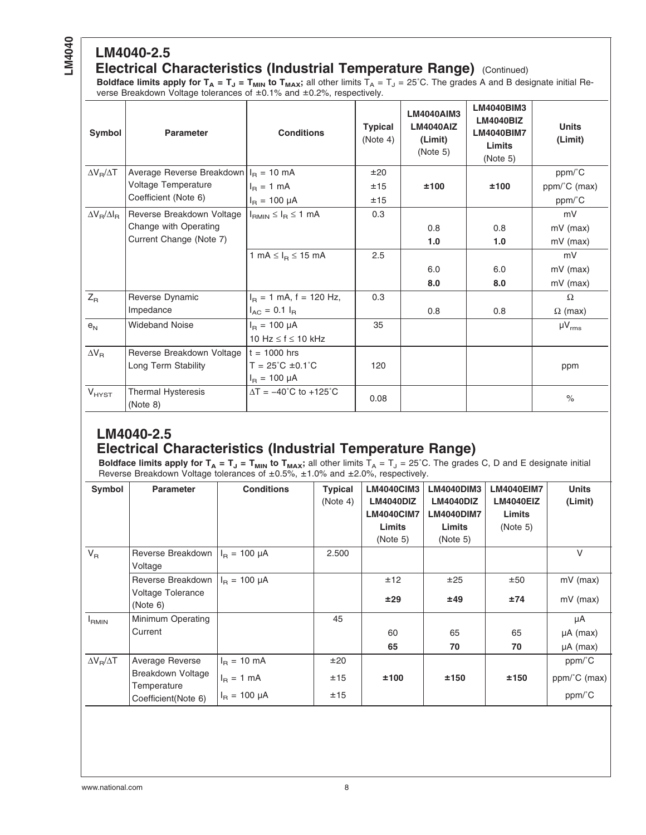# **LM4040-2.5**

#### **Electrical Characteristics (Industrial Temperature Range)** (Continued)

**Boldface limits apply for T<sub>A</sub> = T<sub>J</sub> = T<sub>MIN</sub> to T<sub>MAX</sub>;** all other limits T<sub>A</sub> = T<sub>J</sub> = 25°C. The grades A and B designate initial Reverse Breakdown Voltage tolerances of ±0.1% and ±0.2%, respectively.

| Symbol                  | <b>Parameter</b>                       | <b>Conditions</b>                            | <b>Typical</b><br>(Note 4) | <b>LM4040AIM3</b><br><b>LM4040AIZ</b><br>(Limit)<br>(Note 5) | <b>LM4040BIM3</b><br><b>LM4040BIZ</b><br><b>LM4040BIM7</b><br><b>Limits</b><br>(Note 5) | <b>Units</b><br>(Limit) |
|-------------------------|----------------------------------------|----------------------------------------------|----------------------------|--------------------------------------------------------------|-----------------------------------------------------------------------------------------|-------------------------|
| $\Delta V_B/\Delta T$   | Average Reverse Breakdown $IB = 10$ mA |                                              | ±20                        |                                                              |                                                                                         | ppm/°C                  |
|                         | Voltage Temperature                    | $I_{\rm B} = 1$ mA                           | ±15                        | ±100                                                         | ±100                                                                                    | ppm/°C (max)            |
|                         | Coefficient (Note 6)                   | $I_B = 100 \mu A$                            | ±15                        |                                                              |                                                                                         | ppm/°C                  |
| $\Delta V_B/\Delta I_B$ | Reverse Breakdown Voltage              | $I_{RMIN} \leq I_R \leq 1$ mA                | 0.3                        |                                                              |                                                                                         | mV                      |
|                         | Change with Operating                  |                                              |                            | 0.8                                                          | 0.8                                                                                     | $mV$ (max)              |
|                         | Current Change (Note 7)                |                                              |                            | 1.0                                                          | 1.0                                                                                     | $mV$ (max)              |
|                         |                                        | 1 mA $\leq$ $I_R \leq$ 15 mA                 | 2.5                        |                                                              |                                                                                         | mV                      |
|                         |                                        |                                              |                            | 6.0                                                          | 6.0                                                                                     | $mV$ (max)              |
|                         |                                        |                                              |                            | 8.0                                                          | 8.0                                                                                     | $mV$ (max)              |
| $Z_{\rm R}$             | Reverse Dynamic                        | $I_B = 1$ mA, f = 120 Hz,                    | 0.3                        |                                                              |                                                                                         | $\Omega$                |
|                         | Impedance                              | $I_{AC} = 0.1 I_{B}$                         |                            | 0.8                                                          | 0.8                                                                                     | $\Omega$ (max)          |
| e <sub>N</sub>          | <b>Wideband Noise</b>                  | $I_{B} = 100 \mu A$                          | 35                         |                                                              |                                                                                         | $\mu V_{rms}$           |
|                         |                                        | 10 Hz $\leq$ f $\leq$ 10 kHz                 |                            |                                                              |                                                                                         |                         |
| $\Delta V_R$            | Reverse Breakdown Voltage              | $t = 1000$ hrs                               |                            |                                                              |                                                                                         |                         |
|                         | Long Term Stability                    | $T = 25^{\circ}C \pm 0.1^{\circ}C$           | 120                        |                                                              |                                                                                         | ppm                     |
|                         |                                        | $I_{\rm B} = 100 \mu A$                      |                            |                                                              |                                                                                         |                         |
| $V_{HYST}$              | <b>Thermal Hysteresis</b><br>(Note 8)  | $\Delta T = -40^{\circ}C$ to $+125^{\circ}C$ | 0.08                       |                                                              |                                                                                         | $\%$                    |

#### **LM4040-2.5 Electrical Characteristics (Industrial Temperature Range)**

<code>Boldface limits apply for T<sub>A</sub> = T<sub>J</sub> = T<sub>MIN</sub> to T<sub>MAX</sub>; all other limits T<sub>A</sub> = T<sub>J</sub> = 25˚C. The grades C, D and E designate initial</code> Reverse Breakdown Voltage tolerances of ±0.5%, ±1.0% and ±2.0%, respectively.

| Symbol                | <b>Parameter</b>                                                           | <b>Conditions</b>                                                      | <b>Typical</b><br>(Note 4) | <b>LM4040CIM3</b><br>LM4040DIZ<br><b>LM4040CIM7</b><br>Limits<br>(Note 5) | LM4040DIM3<br>LM4040DIZ<br>LM4040DIM7<br><b>Limits</b><br>(Note 5) | LM4040EIM7<br><b>LM4040EIZ</b><br>Limits<br>(Note 5) | <b>Units</b><br>(Limit)              |
|-----------------------|----------------------------------------------------------------------------|------------------------------------------------------------------------|----------------------------|---------------------------------------------------------------------------|--------------------------------------------------------------------|------------------------------------------------------|--------------------------------------|
| $V_{R}$               | Reverse Breakdown  <br>Voltage                                             | $I_B = 100 \mu A$                                                      | 2.500                      |                                                                           |                                                                    |                                                      | V                                    |
|                       | Reverse Breakdown  <br><b>Voltage Tolerance</b><br>(Note 6)                | $I_{B} = 100 \mu A$                                                    |                            | ±12<br>±29                                                                | ±25<br>±49                                                         | ±50<br>±74                                           | $mV$ (max)<br>$mV$ (max)             |
| <b>I</b> RMIN         | Minimum Operating<br>Current                                               |                                                                        | 45                         | 60<br>65                                                                  | 65<br>70                                                           | 65<br>70                                             | μA<br>$\mu A$ (max)<br>$\mu A$ (max) |
| $\Delta V_B/\Delta T$ | Average Reverse<br>Breakdown Voltage<br>Temperature<br>Coefficient(Note 6) | $I_{\rm B} = 10 \text{ mA}$<br>$I_{\rm B} = 1$ mA<br>$I_R = 100 \mu A$ | ±20<br>±15<br>±15          | ±100                                                                      | ±150                                                               | ±150                                                 | ppm/°C<br>ppm/°C (max)<br>ppm/°C     |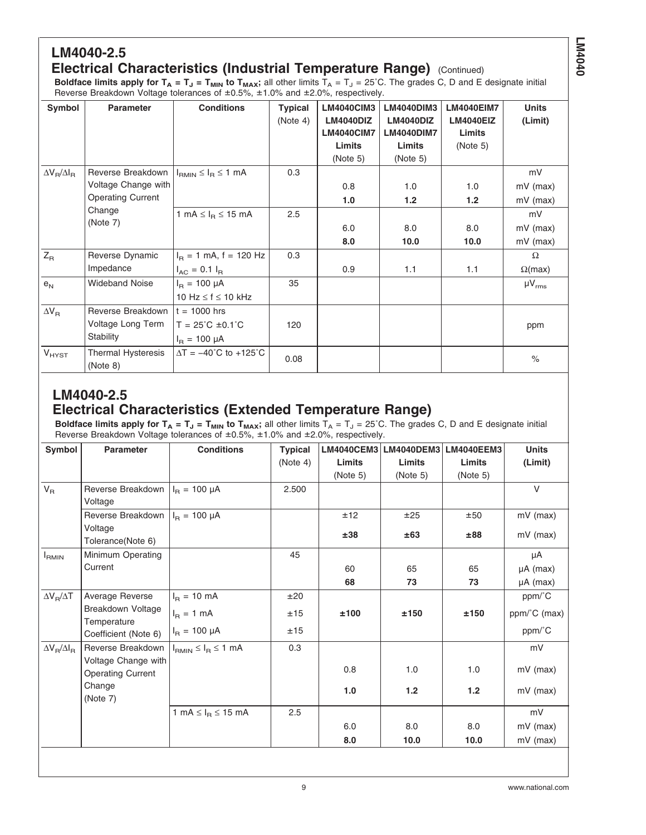## **LM4040-2.5**

#### **Electrical Characteristics (Industrial Temperature Range)** (Continued)

**Boldface limits apply for**  $T_A = T_J = T_{MIN}$  **to**  $T_{MAX}$ **; all other limits**  $T_A = T_J = 25^{\circ}$ **C. The grades C, D and E designate initial** Reverse Breakdown Voltage tolerances of ±0.5%, ±1.0% and ±2.0%, respectively.

| Symbol                  | <b>Parameter</b>                      | <b>Conditions</b>                    | <b>Typical</b> | <b>LM4040CIM3</b> | LM4040DIM3       | <b>LM4040EIM7</b> | <b>Units</b>   |
|-------------------------|---------------------------------------|--------------------------------------|----------------|-------------------|------------------|-------------------|----------------|
|                         |                                       |                                      | (Note 4)       | <b>LM4040DIZ</b>  | <b>LM4040DIZ</b> | <b>LM4040EIZ</b>  | (Limit)        |
|                         |                                       |                                      |                | <b>LM4040CIM7</b> | LM4040DIM7       | Limits            |                |
|                         |                                       |                                      |                | Limits            | Limits           | (Note 5)          |                |
|                         |                                       |                                      |                | (Note 5)          | (Note 5)         |                   |                |
| $\Delta V_R/\Delta I_R$ | Reverse Breakdown                     | $I_{RMIN} \leq I_R \leq 1$ mA        | 0.3            |                   |                  |                   | mV             |
|                         | Voltage Change with                   |                                      |                | 0.8               | 1.0              | 1.0               | $mV$ (max)     |
|                         | <b>Operating Current</b>              |                                      |                | 1.0               | 1.2              | 1.2               | $mV$ (max)     |
| Change                  | 1 mA $\leq$ $I_B \leq$ 15 mA          | 2.5                                  |                |                   |                  | mV                |                |
|                         | (Note 7)                              |                                      |                | 6.0               | 8.0              | 8.0               | $mV$ (max)     |
|                         |                                       |                                      |                | 8.0               | 10.0             | 10.0              | $mV$ (max)     |
| $Z_{\mathsf{R}}$        | Reverse Dynamic                       | $I_B = 1$ mA, f = 120 Hz             | 0.3            |                   |                  |                   | $\Omega$       |
|                         | Impedance                             | $I_{AC} = 0.1 I_{B}$                 |                | 0.9               | 1.1              | 1.1               | $\Omega$ (max) |
| e <sub>N</sub>          | <b>Wideband Noise</b>                 | $I_{\rm B} = 100 \mu A$              | 35             |                   |                  |                   | $\mu V_{rms}$  |
|                         |                                       | 10 Hz $\leq$ f $\leq$ 10 kHz         |                |                   |                  |                   |                |
| $\Delta V_R$            | Reverse Breakdown                     | $t = 1000$ hrs                       |                |                   |                  |                   |                |
|                         | Voltage Long Term                     | $T = 25^{\circ}C \pm 0.1^{\circ}C$   | 120            |                   |                  |                   | ppm            |
|                         | Stability                             | $I_{B} = 100 \mu A$                  |                |                   |                  |                   |                |
| $V_{HYST}$              | <b>Thermal Hysteresis</b><br>(Note 8) | $\Delta T = -40^{\circ}C$ to +125 °C | 0.08           |                   |                  |                   | $\%$           |

#### **LM4040-2.5 Electrical Characteristics (Extended Temperature Range)**

<code>Boldface limits apply for T<sub>A</sub> = T<sub>J</sub> = T<sub>MIN</sub> to T<sub>MAX</sub>; all other limits T<sub>A</sub> = T<sub>J</sub> = 25˚C. The grades C, D and E designate initial</code> Reverse Breakdown Voltage tolerances of ±0.5%, ±1.0% and ±2.0%, respectively.

| Symbol                  | <b>Parameter</b>                     | <b>Conditions</b>             | <b>Typical</b> | <b>LM4040CEM3</b> | LM4040DEM3 | <b>LM4040EEM3</b> | <b>Units</b>  |
|-------------------------|--------------------------------------|-------------------------------|----------------|-------------------|------------|-------------------|---------------|
|                         |                                      |                               | (Note 4)       | Limits            | Limits     | Limits            | (Limit)       |
|                         |                                      |                               |                | (Note 5)          | (Note 5)   | (Note 5)          |               |
| $\mathsf{V}_\mathsf{R}$ | Reverse Breakdown                    | $I_R = 100 \mu A$             | 2.500          |                   |            |                   | $\vee$        |
|                         | Voltage                              |                               |                |                   |            |                   |               |
|                         | Reverse Breakdown $ I_R = 100 \mu A$ |                               |                | ±12               | ±25        | ±50               | mV (max)      |
|                         | Voltage                              |                               |                | ±38               | ±63        | ±88               | $mV$ (max)    |
|                         | Tolerance(Note 6)                    |                               |                |                   |            |                   |               |
| <b>I</b> RMIN           | Minimum Operating                    |                               | 45             |                   |            |                   | μA            |
|                         | Current                              |                               |                | 60                | 65         | 65                | $\mu A$ (max) |
|                         |                                      |                               |                | 68                | 73         | 73                | $\mu A$ (max) |
| $\Delta V_B/\Delta T$   | Average Reverse                      | $I_{\rm B} = 10 \text{ mA}$   | ±20            |                   |            |                   | ppm/°C        |
|                         | Breakdown Voltage                    | $I_R = 1$ mA                  | ±15            | ±100              | ±150       | ±150              | ppm/°C (max)  |
|                         | Temperature                          |                               |                |                   |            |                   |               |
|                         | Coefficient (Note 6)                 | $I_R = 100 \mu A$             | ±15            |                   |            |                   | ppm/°C        |
| $\Delta V_B/\Delta I_B$ | Reverse Breakdown                    | $I_{RMIN} \leq I_R \leq 1$ mA | 0.3            |                   |            |                   | mV            |
|                         | Voltage Change with                  |                               |                | 0.8               | 1.0        | 1.0               |               |
|                         | <b>Operating Current</b>             |                               |                |                   |            |                   | $mV$ (max)    |
|                         | Change                               |                               |                | 1.0               | $1.2$      | $1.2$             | $mV$ (max)    |
|                         | (Note 7)                             |                               |                |                   |            |                   |               |
|                         |                                      | 1 mA $\leq$ $I_R \leq$ 15 mA  | 2.5            |                   |            |                   | mV            |
|                         |                                      |                               |                | 6.0               | 8.0        | 8.0               | $mV$ (max)    |
|                         |                                      |                               |                | 8.0               | 10.0       | 10.0              | $mV$ (max)    |
|                         |                                      |                               |                |                   |            |                   |               |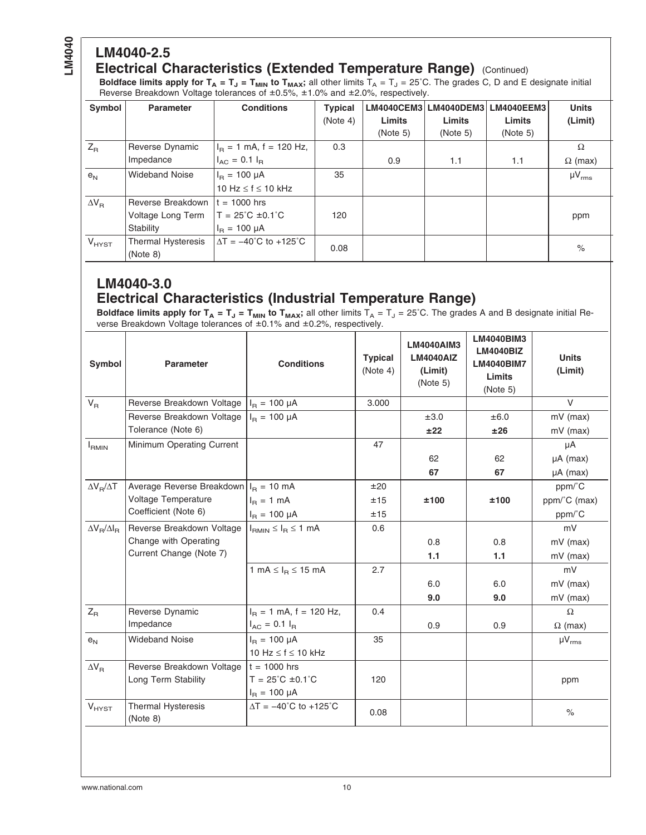# **LM4040-2.5**

#### **Electrical Characteristics (Extended Temperature Range)** (Continued)

**Boldface limits apply for T<sub>A</sub> = T<sub>J</sub> = T<sub>MIN</sub> to T<sub>MAX</sub>;** all other limits T<sub>A</sub> = T<sub>J</sub> = 25˚C. The grades C, D and E designate initial Reverse Breakdown Voltage tolerances of ±0.5%, ±1.0% and ±2.0%, respectively.

| Symbol             | <b>Parameter</b>      | <b>Conditions</b>                            | <b>Typical</b> |          | LM4040CEM3   LM4040DEM3 | LM4040EEM3 | <b>Units</b>   |
|--------------------|-----------------------|----------------------------------------------|----------------|----------|-------------------------|------------|----------------|
|                    |                       |                                              | (Note 4)       | Limits   | <b>Limits</b>           | Limits     | (Limit)        |
|                    |                       |                                              |                | (Note 5) | (Note 5)                | (Note 5)   |                |
| $Z_{R}$            | Reverse Dynamic       | $IR = 1$ mA, f = 120 Hz,                     | 0.3            |          |                         |            | Ω              |
|                    | Impedance             | $I_{AC} = 0.1 I_{B}$                         |                | 0.9      | 1.1                     | 1.1        | $\Omega$ (max) |
| e <sub>N</sub>     | <b>Wideband Noise</b> | $I_{\rm B} = 100 \mu A$                      | 35             |          |                         |            | $\mu V_{rms}$  |
|                    |                       | 10 Hz $\leq$ f $\leq$ 10 kHz                 |                |          |                         |            |                |
| $\Delta V_{\rm B}$ | Reverse Breakdown     | $t = 1000$ hrs                               |                |          |                         |            |                |
|                    | Voltage Long Term     | $T = 25^{\circ}C \pm 0.1^{\circ}C$           | 120            |          |                         |            | ppm            |
|                    | Stability             | $I_{B} = 100 \mu A$                          |                |          |                         |            |                |
| $V_{H YST}$        | Thermal Hysteresis    | $\Delta T = -40^{\circ}C$ to $+125^{\circ}C$ | 0.08           |          |                         |            | $\%$           |
|                    | (Note 8)              |                                              |                |          |                         |            |                |

#### **LM4040-3.0 Electrical Characteristics (Industrial Temperature Range)**

<code>Boldface limits apply for T<sub>A</sub> = T<sub>J</sub> = T<sub>MIN</sub> to T<sub>MAX</sub>; all other limits T<sub>A</sub> = T<sub>J</sub> = 25˚C. The grades A and B designate initial Re-</code> verse Breakdown Voltage tolerances of ±0.1% and ±0.2%, respectively.

| Symbol                  | <b>Parameter</b>               | <b>Conditions</b>                   | <b>Typical</b><br>(Note 4) | <b>LM4040AIM3</b><br><b>LM4040AIZ</b><br>(Limit)<br>(Note 5) | <b>LM4040BIM3</b><br><b>LM4040BIZ</b><br><b>LM4040BIM7</b><br>Limits<br>(Note 5) | <b>Units</b><br>(Limit) |
|-------------------------|--------------------------------|-------------------------------------|----------------------------|--------------------------------------------------------------|----------------------------------------------------------------------------------|-------------------------|
| $V_{B}$                 | Reverse Breakdown Voltage      | $I_{\rm B} = 100 \mu A$             | 3.000                      |                                                              |                                                                                  | $\vee$                  |
|                         | Reverse Breakdown Voltage      | $I_B = 100 \mu A$                   |                            | ±3.0                                                         | ±6.0                                                                             | mV (max)                |
|                         | Tolerance (Note 6)             |                                     |                            | ±22                                                          | ±26                                                                              | $mV$ (max)              |
| $I_{RMIN}$              | Minimum Operating Current      |                                     | 47                         |                                                              |                                                                                  | μA                      |
|                         |                                |                                     |                            | 62                                                           | 62                                                                               | $\mu A$ (max)           |
|                         |                                |                                     |                            | 67                                                           | 67                                                                               | $\mu A$ (max)           |
| $\Delta V_B/\Delta T$   | Average Reverse Breakdown      | $I_{\rm B} = 10 \text{ mA}$         | ±20                        |                                                              |                                                                                  | ppm/°C                  |
|                         | Voltage Temperature            | $I_{\rm B} = 1$ mA                  | ±15                        | ±100                                                         | ±100                                                                             | ppm/°C (max)            |
|                         | Coefficient (Note 6)           | $I_{\rm B} = 100 \mu A$             | ±15                        |                                                              |                                                                                  | ppm/°C                  |
| $\Delta V_B/\Delta I_B$ | Reverse Breakdown Voltage      | $I_{BMIN} \leq I_B \leq 1$ mA       | 0.6                        |                                                              |                                                                                  | mV                      |
|                         | Change with Operating          |                                     |                            | 0.8                                                          | 0.8                                                                              | $mV$ (max)              |
|                         | Current Change (Note 7)        |                                     |                            | 1.1                                                          | 1.1                                                                              | $mV$ (max)              |
|                         |                                | 1 mA $\leq$ $I_B \leq$ 15 mA        | 2.7                        |                                                              |                                                                                  | mV                      |
|                         |                                |                                     |                            | 6.0                                                          | 6.0                                                                              | $mV$ (max)              |
|                         |                                |                                     |                            | 9.0                                                          | 9.0                                                                              | $mV$ (max)              |
| $Z_{\mathsf{R}}$        | Reverse Dynamic                | $I_B = 1$ mA, f = 120 Hz,           | 0.4                        |                                                              |                                                                                  | $\Omega$                |
|                         | Impedance                      | $I_{AC}$ = 0.1 $I_{B}$              |                            | 0.9                                                          | 0.9                                                                              | $\Omega$ (max)          |
| $e_N$                   | <b>Wideband Noise</b>          | $I_B = 100 \mu A$                   | 35                         |                                                              |                                                                                  | $\mu V_{rms}$           |
|                         |                                | 10 Hz $\leq$ f $\leq$ 10 kHz        |                            |                                                              |                                                                                  |                         |
| $\Delta V_R$            | Reverse Breakdown Voltage      | $t = 1000$ hrs                      |                            |                                                              |                                                                                  |                         |
|                         | Long Term Stability            | $T = 25^{\circ}C \pm 0.1^{\circ}C$  | 120                        |                                                              |                                                                                  | ppm                     |
|                         |                                | $I_{\rm B} = 100 \mu A$             |                            |                                                              |                                                                                  |                         |
| $V_{HYST}$              | Thermal Hysteresis<br>(Note 8) | $\Delta T = -40^{\circ}C$ to +125°C | 0.08                       |                                                              |                                                                                  | $\frac{1}{\alpha}$      |
|                         |                                |                                     |                            |                                                              |                                                                                  |                         |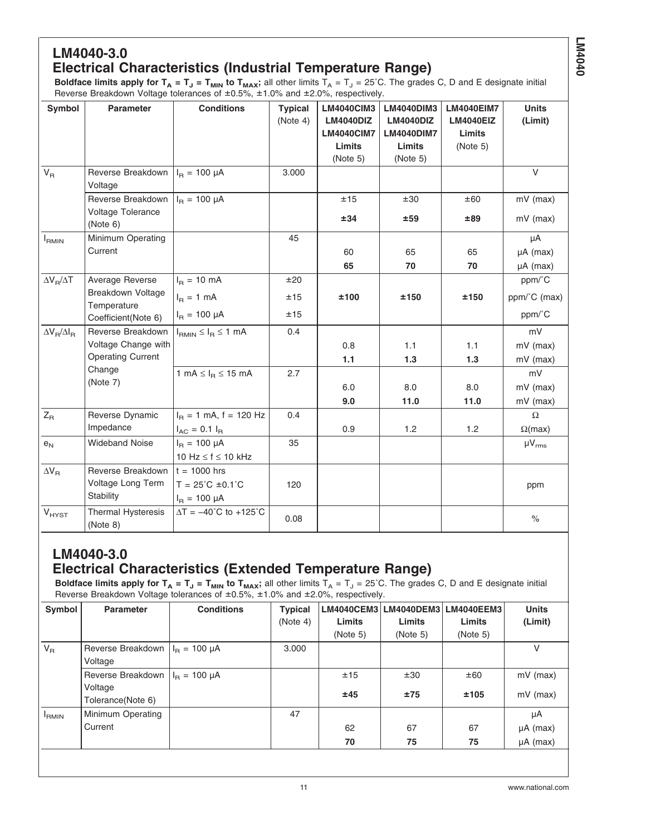# **LM4040-3.0**

#### **Electrical Characteristics (Industrial Temperature Range)**

**Boldface limits apply for**  $T_A = T_J = T_{MIN}$  **to**  $T_{MAX}$ **; all other limits**  $T_A = T_J = 25^{\circ}$ **C. The grades C, D and E designate initial** Reverse Breakdown Voltage tolerances of ±0.5%, ±1.0% and ±2.0%, respectively.

| Symbol                  | <b>Parameter</b>                        | <b>Conditions</b>                             | <b>Typical</b> | <b>LM4040CIM3</b> | <b>LM4040DIM3</b> | <b>LM4040EIM7</b> | <b>Units</b>   |
|-------------------------|-----------------------------------------|-----------------------------------------------|----------------|-------------------|-------------------|-------------------|----------------|
|                         |                                         |                                               | (Note 4)       | <b>LM4040DIZ</b>  | <b>LM4040DIZ</b>  | <b>LM4040EIZ</b>  | (Limit)        |
|                         |                                         |                                               |                | <b>LM4040CIM7</b> | <b>LM4040DIM7</b> | Limits            |                |
|                         |                                         |                                               |                | Limits            | Limits            | (Note 5)          |                |
|                         |                                         |                                               |                | (Note 5)          | (Note 5)          |                   |                |
| $V_{R}$                 | Reverse Breakdown<br>Voltage            | $I_R = 100 \mu A$                             | 3.000          |                   |                   |                   | V              |
|                         | Reverse Breakdown                       | $I_B = 100 \mu A$                             |                | ±15               | ±30               | ±60               | mV (max)       |
|                         | Voltage Tolerance<br>(Note 6)           |                                               |                | ±34               | ±59               | ±89               | $mV$ (max)     |
| $I_{RMIN}$              | Minimum Operating                       |                                               | 45             |                   |                   |                   | μA             |
|                         | Current                                 |                                               |                | 60                | 65                | 65                | $\mu A$ (max)  |
|                         |                                         |                                               |                | 65                | 70                | 70                | $\mu A$ (max)  |
| $\Delta V_B/\Delta T$   | Average Reverse                         | $I_R = 10 \text{ mA}$                         | ±20            |                   |                   |                   | ppm/°C         |
|                         | <b>Breakdown Voltage</b><br>Temperature | $I_R = 1$ mA                                  | ±15            | ±100              | ±150              | ±150              | ppm/°C (max)   |
|                         | Coefficient(Note 6)                     | $I_R = 100 \mu A$                             | ±15            |                   |                   |                   | ppm/°C         |
| $\Delta V_B/\Delta I_B$ | Reverse Breakdown                       | $I_{RMIN} \leq I_R \leq 1$ mA                 | 0.4            |                   |                   |                   | mV             |
|                         | Voltage Change with                     |                                               |                | 0.8               | 1.1               | 1.1               | $mV$ (max)     |
|                         | <b>Operating Current</b>                |                                               |                | 1.1               | 1.3               | 1.3               | $mV$ (max)     |
|                         | Change                                  | 1 mA $\leq$ $I_B \leq$ 15 mA                  | 2.7            |                   |                   |                   | mV             |
|                         | (Note 7)                                |                                               |                | 6.0               | 8.0               | 8.0               | $mV$ (max)     |
|                         |                                         |                                               |                | 9.0               | 11.0              | 11.0              | $mV$ (max)     |
| $Z_{\mathsf{R}}$        | Reverse Dynamic                         | $I_B = 1$ mA, f = 120 Hz                      | 0.4            |                   |                   |                   | Ω              |
|                         | Impedance                               | $I_{AC} = 0.1 I_{B}$                          |                | 0.9               | 1.2               | 1.2               | $\Omega$ (max) |
| e <sub>N</sub>          | <b>Wideband Noise</b>                   | $I_B = 100 \mu A$                             | 35             |                   |                   |                   | $\mu V_{rms}$  |
|                         |                                         | 10 Hz $\leq$ f $\leq$ 10 kHz                  |                |                   |                   |                   |                |
| $\Delta V_R$            | Reverse Breakdown                       | $t = 1000$ hrs                                |                |                   |                   |                   |                |
|                         | Voltage Long Term                       | $T = 25^{\circ}C \pm 0.1^{\circ}C$            | 120            |                   |                   |                   | ppm            |
|                         | Stability                               | $I_R = 100 \mu A$                             |                |                   |                   |                   |                |
| <b>V<sub>HYST</sub></b> | Thermal Hysteresis<br>(Note 8)          | $\Delta T = -40^{\circ}C$ to +125 $^{\circ}C$ | 0.08           |                   |                   |                   | $\%$           |

#### **LM4040-3.0 Electrical Characteristics (Extended Temperature Range)**

**Boldface limits apply for T<sub>A</sub> = T<sub>J</sub> = T<sub>MIN</sub> to T<sub>MAX</sub>;** all other limits T<sub>A</sub> = T<sub>J</sub> = 25˚C. The grades C, D and E designate initial Reverse Breakdown Voltage tolerances of ±0.5%, ±1.0% and ±2.0%, respectively.

| Symbol            | <b>Parameter</b>  | <b>Conditions</b>       | <b>Typical</b> | <b>LM4040CEM3</b> |          | LM4040DEM3 LM4040EEM3 | <b>Units</b>  |
|-------------------|-------------------|-------------------------|----------------|-------------------|----------|-----------------------|---------------|
|                   |                   |                         | (Note 4)       | Limits            | Limits   | Limits                | (Limit)       |
|                   |                   |                         |                | (Note 5)          | (Note 5) | (Note 5)              |               |
| $V_{R}$           | Reverse Breakdown | $I_{\rm B} = 100 \mu A$ | 3.000          |                   |          |                       | V             |
|                   | Voltage           |                         |                |                   |          |                       |               |
|                   | Reverse Breakdown | $I_{\rm B} = 100 \mu A$ |                | ±15               | ±30      | ±60                   | $mV$ (max)    |
|                   | Voltage           |                         |                | ±45               | ±75      | ±105                  | $mV$ (max)    |
|                   | Tolerance(Note 6) |                         |                |                   |          |                       |               |
| <sup>I</sup> RMIN | Minimum Operating |                         | 47             |                   |          |                       | μA            |
|                   | Current           |                         |                | 62                | 67       | 67                    | $\mu A$ (max) |
|                   |                   |                         |                | 70                | 75       | 75                    | $\mu A$ (max) |
|                   |                   |                         |                |                   |          |                       |               |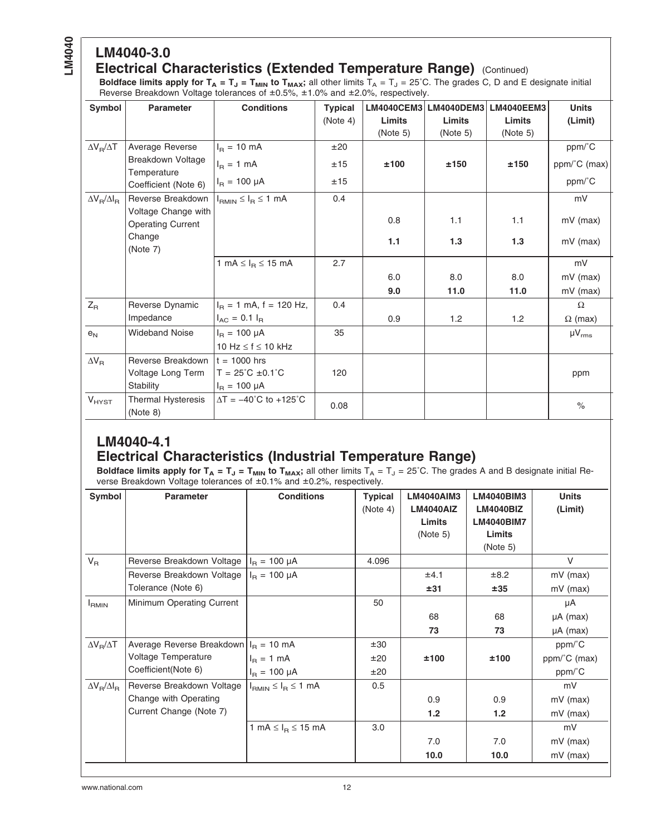# **LM4040-3.0**

#### **Electrical Characteristics (Extended Temperature Range)** (Continued)

**Boldface limits apply for T<sub>A</sub> = T<sub>J</sub> = T<sub>MIN</sub> to T<sub>MAX</sub>;** all other limits T<sub>A</sub> = T<sub>J</sub> = 25˚C. The grades C, D and E designate initial Reverse Breakdown Voltage tolerances of ±0.5%, ±1.0% and ±2.0%, respectively.

| Symbol                                        | <b>Parameter</b>                                | <b>Conditions</b>                   | <b>Typical</b> |          | LM4040CEM3 LM4040DEM3 | <b>LM4040EEM3</b> | <b>Units</b>   |
|-----------------------------------------------|-------------------------------------------------|-------------------------------------|----------------|----------|-----------------------|-------------------|----------------|
|                                               |                                                 |                                     | (Note 4)       | Limits   | <b>Limits</b>         | <b>Limits</b>     | (Limit)        |
|                                               |                                                 |                                     |                | (Note 5) | (Note 5)              | (Note 5)          |                |
| $\Delta V_B/\Delta T$                         | Average Reverse                                 | $I_R = 10 \text{ mA}$               | ±20            |          |                       |                   | ppm/°C         |
|                                               | Breakdown Voltage<br>Temperature                | $I_R = 1$ mA                        | ±15            | ±100     | ±150                  | ±150              | ppm/°C (max)   |
|                                               | Coefficient (Note 6)                            | $I_B = 100 \mu A$                   | ±15            |          |                       |                   | ppm/°C         |
| $\Delta V_{\textsf{R}}/\Delta I_{\textsf{R}}$ | Reverse Breakdown                               | $I_{RMIN} \leq I_R \leq 1$ mA       | 0.4            |          |                       |                   | mV             |
|                                               | Voltage Change with<br><b>Operating Current</b> |                                     |                | 0.8      | 1.1                   | 1.1               | $mV$ (max)     |
|                                               | Change<br>(Note 7)                              |                                     |                | 1.1      | 1.3                   | 1.3               | $mV$ (max)     |
|                                               |                                                 | 1 mA $\leq$ $I_R \leq$ 15 mA        | 2.7            |          |                       |                   | mV             |
|                                               |                                                 |                                     |                | 6.0      | 8.0                   | 8.0               | $mV$ (max)     |
|                                               |                                                 |                                     |                | 9.0      | 11.0                  | 11.0              | $mV$ (max)     |
| $Z_{\mathsf{R}}$                              | Reverse Dynamic                                 | $I_B = 1$ mA, f = 120 Hz,           | 0.4            |          |                       |                   | $\Omega$       |
|                                               | Impedance                                       | $I_{AC}$ = 0.1 $I_{B}$              |                | 0.9      | 1.2                   | 1.2               | $\Omega$ (max) |
| $\mathsf{e}_\mathsf{N}$                       | <b>Wideband Noise</b>                           | $I_R = 100 \mu A$                   | 35             |          |                       |                   | $\mu V_{rms}$  |
|                                               |                                                 | 10 Hz $\leq$ f $\leq$ 10 kHz        |                |          |                       |                   |                |
| $\Delta V_R$                                  | Reverse Breakdown                               | $t = 1000$ hrs                      |                |          |                       |                   |                |
|                                               | Voltage Long Term                               | $T = 25^{\circ}C \pm 0.1^{\circ}C$  | 120            |          |                       |                   | ppm            |
|                                               | Stability                                       | $I_B = 100 \mu A$                   |                |          |                       |                   |                |
| $V_{H YST}$                                   | Thermal Hysteresis<br>(Note 8)                  | $\Delta T = -40^{\circ}C$ to +125°C | 0.08           |          |                       |                   | $\%$           |

#### **LM4040-4.1 Electrical Characteristics (Industrial Temperature Range)**

**Boldface limits apply for T<sub>A</sub> = T<sub>J</sub> = T<sub>MIN</sub> to T<sub>MAX</sub>;** all other limits T<sub>A</sub> = T<sub>J</sub> = 25°C. The grades A and B designate initial Reverse Breakdown Voltage tolerances of ±0.1% and ±0.2%, respectively.

| Symbol                  | <b>Parameter</b>                                                                     | <b>Conditions</b>                 | <b>Typical</b><br>(Note 4) | <b>LM4040AIM3</b><br><b>LM4040AIZ</b><br>Limits<br>(Note 5) | <b>LM4040BIM3</b><br><b>LM4040BIZ</b><br><b>LM4040BIM7</b><br><b>Limits</b><br>(Note 5) | <b>Units</b><br>(Limit)              |
|-------------------------|--------------------------------------------------------------------------------------|-----------------------------------|----------------------------|-------------------------------------------------------------|-----------------------------------------------------------------------------------------|--------------------------------------|
| $V_R$                   | Reverse Breakdown Voltage                                                            | $I_{B} = 100 \mu A$               | 4.096                      |                                                             |                                                                                         | V                                    |
|                         | Reverse Breakdown Voltage<br>Tolerance (Note 6)                                      | $I_{\rm B} = 100 \mu A$           |                            | ±4.1<br>±31                                                 | ±8.2<br>±35                                                                             | $mV$ (max)<br>$mV$ (max)             |
| $I_{RMIN}$              | Minimum Operating Current                                                            |                                   | 50                         | 68<br>73                                                    | 68<br>73                                                                                | μA<br>$\mu A$ (max)<br>$\mu A$ (max) |
| $\Delta V_B/\Delta T$   | Average Reverse Breakdown $IB = 10$ mA<br>Voltage Temperature<br>Coefficient(Note 6) | $I_R = 1$ mA<br>$I_B = 100 \mu A$ | ±30<br>±20<br>±20          | ±100                                                        | ±100                                                                                    | ppm/°C<br>ppm/°C (max)<br>ppm/°C     |
| $\Delta V_B/\Delta I_B$ | Reverse Breakdown Voltage<br>Change with Operating<br>Current Change (Note 7)        | $I_{RMIN} \leq I_R \leq 1$ mA     | 0.5                        | 0.9<br>1.2                                                  | 0.9<br>1.2                                                                              | mV<br>$mV$ (max)<br>$mV$ (max)       |
|                         |                                                                                      | 1 mA $\leq$ $I_R \leq$ 15 mA      | 3.0                        | 7.0<br>10.0                                                 | 7.0<br>10.0                                                                             | mV<br>$mV$ (max)<br>$mV$ (max)       |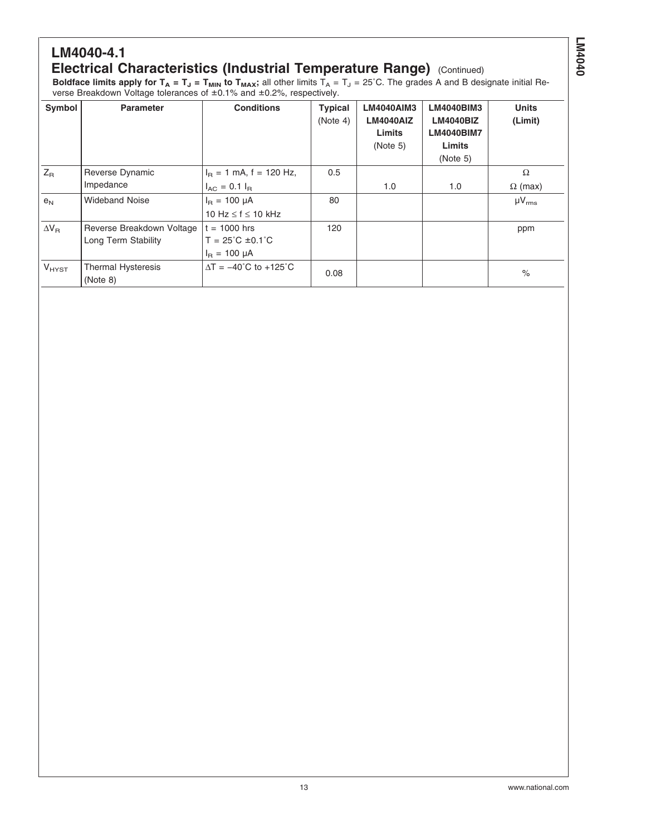#### **LM4040-4.1 Electrical Characteristics (Industrial Temperature Range) (Continued)**

**Boldface limits apply for T<sub>A</sub> = T<sub>J</sub> = T<sub>MIN</sub> to T<sub>MAX</sub>;** all other limits T<sub>A</sub> = T<sub>J</sub> = 25°C. The grades A and B designate initial Reverse Breakdown Voltage tolerances of ±0.1% and ±0.2%, respectively.

| Symbol           | <b>Parameter</b>                      | <b>Conditions</b>                            | <b>Typical</b><br>(Note 4) | LM4040AIM3<br><b>LM4040AIZ</b><br>Limits<br>(Note 5) | <b>LM4040BIM3</b><br><b>LM4040BIZ</b><br><b>LM4040BIM7</b><br>Limits<br>(Note 5) | <b>Units</b><br>(Limit) |
|------------------|---------------------------------------|----------------------------------------------|----------------------------|------------------------------------------------------|----------------------------------------------------------------------------------|-------------------------|
| $Z_{\mathsf{R}}$ | Reverse Dynamic                       | $I_B = 1$ mA, f = 120 Hz,                    | 0.5                        |                                                      |                                                                                  | $\Omega$                |
|                  | Impedance                             | $I_{AC} = 0.1 I_{B}$                         |                            | 1.0                                                  | 1.0                                                                              | $\Omega$ (max)          |
| e <sub>N</sub>   | <b>Wideband Noise</b>                 | $I_{B} = 100 \mu A$                          | 80                         |                                                      |                                                                                  | $\mu V_{rms}$           |
|                  |                                       | 10 Hz $\leq$ f $\leq$ 10 kHz                 |                            |                                                      |                                                                                  |                         |
| $\Delta V_R$     | Reverse Breakdown Voltage             | $t = 1000$ hrs                               | 120                        |                                                      |                                                                                  | ppm                     |
|                  | Long Term Stability                   | $T = 25^{\circ}C \pm 0.1^{\circ}C$           |                            |                                                      |                                                                                  |                         |
|                  |                                       | $I_{B} = 100 \mu A$                          |                            |                                                      |                                                                                  |                         |
| $V_{H YST}$      | <b>Thermal Hysteresis</b><br>(Note 8) | $\Delta T = -40^{\circ}C$ to $+125^{\circ}C$ | 0.08                       |                                                      |                                                                                  | $\%$                    |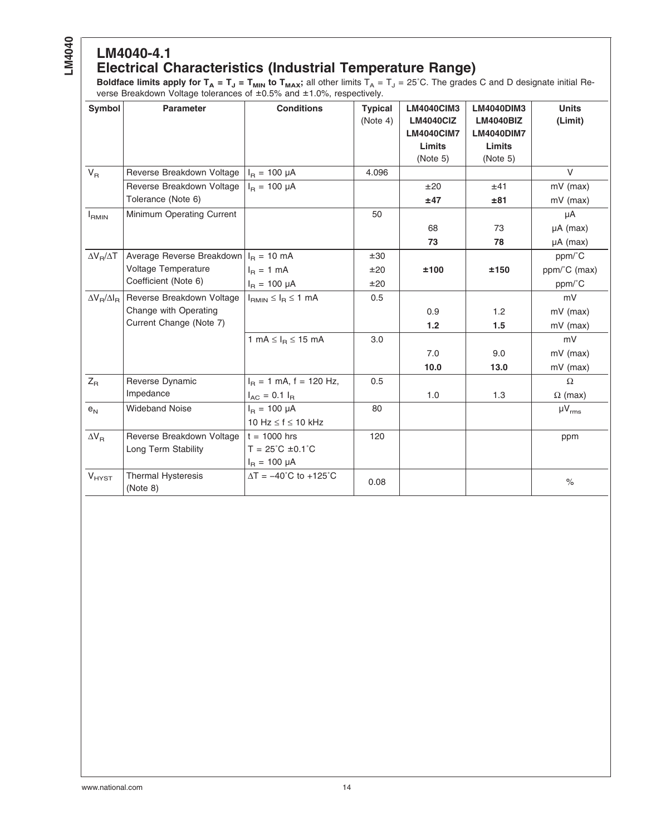#### **LM4040-4.1 Electrical Characteristics (Industrial Temperature Range)**

**Boldface limits apply for T<sub>A</sub> = T<sub>J</sub> = T<sub>MIN</sub> to T<sub>MAX</sub>;** all other limits T<sub>A</sub> = T<sub>J</sub> = 25°C. The grades C and D designate initial Reverse Breakdown Voltage tolerances of ±0.5% and ±1.0%, respectively.

| Symbol                  | <b>Parameter</b>                      | <b>Conditions</b>                                     | <b>Typical</b> | <b>LM4040CIM3</b> | LM4040DIM3        | <b>Units</b>   |
|-------------------------|---------------------------------------|-------------------------------------------------------|----------------|-------------------|-------------------|----------------|
|                         |                                       |                                                       | (Note 4)       | <b>LM4040CIZ</b>  | <b>LM4040BIZ</b>  | (Limit)        |
|                         |                                       |                                                       |                | <b>LM4040CIM7</b> | <b>LM4040DIM7</b> |                |
|                         |                                       |                                                       |                | Limits            | Limits            |                |
|                         |                                       |                                                       |                | (Note 5)          | (Note 5)          |                |
| $V_R$                   | Reverse Breakdown Voltage             | $I_{B} = 100 \mu A$                                   | 4.096          |                   |                   | $\vee$         |
|                         | Reverse Breakdown Voltage             | $I_{\rm B} = 100 \mu A$                               |                | ±20               | ±41               | $mV$ (max)     |
|                         | Tolerance (Note 6)                    |                                                       |                | ±47               | ±81               | mV (max)       |
| $I_{RMIN}$              | Minimum Operating Current             |                                                       | 50             |                   |                   | μA             |
|                         |                                       |                                                       |                | 68                | 73                | $\mu A$ (max)  |
|                         |                                       |                                                       |                | 73                | 78                | $\mu A$ (max)  |
| $\Delta V_B/\Delta T$   | Average Reverse Breakdown             | $I_R = 10 \text{ mA}$                                 | ±30            |                   |                   | ppm/°C         |
|                         | Voltage Temperature                   | $IB = 1 mA$                                           | ±20            | ±100              | ±150              | ppm/°C (max)   |
|                         | Coefficient (Note 6)                  | $I_B = 100 \mu A$                                     | ±20            |                   |                   | ppm/°C         |
| $\Delta V_B/\Delta I_B$ | Reverse Breakdown Voltage             | $I_{\text{RMIN}} \leq I_{\text{R}} \leq 1 \text{ mA}$ | 0.5            |                   |                   | mV             |
|                         | Change with Operating                 |                                                       |                | 0.9               | 1.2               | $mV$ (max)     |
|                         | Current Change (Note 7)               |                                                       |                | $1.2$             | 1.5               | $mV$ (max)     |
|                         |                                       | 1 mA $\leq$ $I_B \leq$ 15 mA                          | 3.0            |                   |                   | mV             |
|                         |                                       |                                                       |                | 7.0               | 9.0               | $mV$ (max)     |
|                         |                                       |                                                       |                | 10.0              | 13.0              | $mV$ (max)     |
| $Z_{\mathsf{R}}$        | Reverse Dynamic                       | $I_B = 1$ mA, f = 120 Hz,                             | 0.5            |                   |                   | $\Omega$       |
|                         | Impedance                             | $I_{AC} = 0.1 I_{B}$                                  |                | 1.0               | 1.3               | $\Omega$ (max) |
| $e_N$                   | <b>Wideband Noise</b>                 | $I_B = 100 \mu A$                                     | 80             |                   |                   | $\mu V_{rms}$  |
|                         |                                       | 10 Hz $\leq$ f $\leq$ 10 kHz                          |                |                   |                   |                |
| $\Delta V_R$            | Reverse Breakdown Voltage             | $t = 1000$ hrs                                        | 120            |                   |                   | ppm            |
|                         | Long Term Stability                   | $T = 25^{\circ}C \pm 0.1^{\circ}C$                    |                |                   |                   |                |
|                         |                                       | $I_R = 100 \mu A$                                     |                |                   |                   |                |
| $V_{HYST}$              | <b>Thermal Hysteresis</b><br>(Note 8) | $\Delta T = -40^{\circ}C$ to +125°C                   | 0.08           |                   |                   | $\%$           |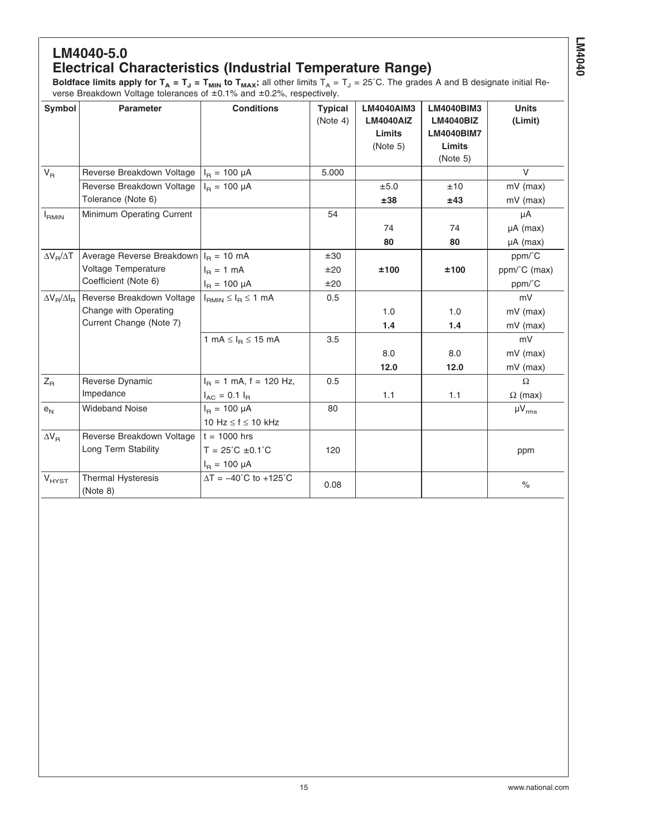#### **LM4040-5.0 Electrical Characteristics (Industrial Temperature Range)**

**Boldface limits apply for T<sub>A</sub> = T<sub>J</sub> = T<sub>MIN</sub> to T<sub>MAX</sub>;** all other limits T<sub>A</sub> = T<sub>J</sub> = 25°C. The grades A and B designate initial Reverse Breakdown Voltage tolerances of ±0.1% and ±0.2%, respectively.

| Symbol                  | <b>Parameter</b>                      | <b>Conditions</b>                                     | <b>Typical</b><br>(Note 4) | <b>LM4040AIM3</b><br><b>LM4040AIZ</b><br>Limits<br>(Note 5) | <b>LM4040BIM3</b><br><b>LM4040BIZ</b><br><b>LM4040BIM7</b><br>Limits<br>(Note 5) | <b>Units</b><br>(Limit) |
|-------------------------|---------------------------------------|-------------------------------------------------------|----------------------------|-------------------------------------------------------------|----------------------------------------------------------------------------------|-------------------------|
| $V_R$                   | Reverse Breakdown Voltage             | $I_B = 100 \mu A$                                     | 5.000                      |                                                             |                                                                                  | V                       |
|                         | Reverse Breakdown Voltage             | $I_B = 100 \mu A$                                     |                            | ±5.0                                                        | ±10                                                                              | $mV$ (max)              |
|                         | Tolerance (Note 6)                    |                                                       |                            | ±38                                                         | ±43                                                                              | mV (max)                |
| $I_{RMIN}$              | Minimum Operating Current             |                                                       | 54                         |                                                             |                                                                                  | μA                      |
|                         |                                       |                                                       |                            | 74                                                          | 74                                                                               | $\mu A$ (max)           |
|                         |                                       |                                                       |                            | 80                                                          | 80                                                                               | $\mu A$ (max)           |
| $\Delta V_R/\Delta T$   | Average Reverse Breakdown             | $I_R = 10 \text{ mA}$                                 | ±30                        |                                                             |                                                                                  | ppm/°C                  |
|                         | Voltage Temperature                   | $I_B = 1$ mA                                          | ±20                        | ±100                                                        | ±100                                                                             | ppm/°C (max)            |
|                         | Coefficient (Note 6)                  | $I_B = 100 \mu A$                                     | ±20                        |                                                             |                                                                                  | ppm/°C                  |
| $\Delta V_R/\Delta I_R$ | Reverse Breakdown Voltage             | $I_{\text{RMIN}} \leq I_{\text{R}} \leq 1 \text{ mA}$ | 0.5                        |                                                             |                                                                                  | mV                      |
|                         | Change with Operating                 |                                                       |                            | 1.0                                                         | 1.0                                                                              | $mV$ (max)              |
|                         | Current Change (Note 7)               |                                                       |                            | 1.4                                                         | 1.4                                                                              | $mV$ (max)              |
|                         |                                       | 1 mA $\leq$ $I_B \leq$ 15 mA                          | 3.5                        |                                                             |                                                                                  | mV                      |
|                         |                                       |                                                       |                            | 8.0                                                         | 8.0                                                                              | $mV$ (max)              |
|                         |                                       |                                                       |                            | 12.0                                                        | 12.0                                                                             | mV (max)                |
| $Z_{\mathsf{R}}$        | Reverse Dynamic                       | $I_B = 1$ mA, f = 120 Hz,                             | 0.5                        |                                                             |                                                                                  | $\Omega$                |
|                         | Impedance                             | $I_{AC} = 0.1 I_{B}$                                  |                            | 1.1                                                         | 1.1                                                                              | $\Omega$ (max)          |
| $e_N$                   | <b>Wideband Noise</b>                 | $I_B = 100 \mu A$                                     | 80                         |                                                             |                                                                                  | $\mu V_{rms}$           |
|                         |                                       | 10 Hz $\leq$ f $\leq$ 10 kHz                          |                            |                                                             |                                                                                  |                         |
| $\Delta V_R$            | Reverse Breakdown Voltage             | $t = 1000$ hrs                                        |                            |                                                             |                                                                                  |                         |
|                         | Long Term Stability                   | $T = 25^{\circ}C \pm 0.1^{\circ}C$                    | 120                        |                                                             |                                                                                  | ppm                     |
|                         |                                       | $I_{\rm B} = 100 \mu A$                               |                            |                                                             |                                                                                  |                         |
| $V_{HYST}$              | <b>Thermal Hysteresis</b><br>(Note 8) | $\Delta T = -40^{\circ}$ C to +125 $^{\circ}$ C       | 0.08                       |                                                             |                                                                                  | $\%$                    |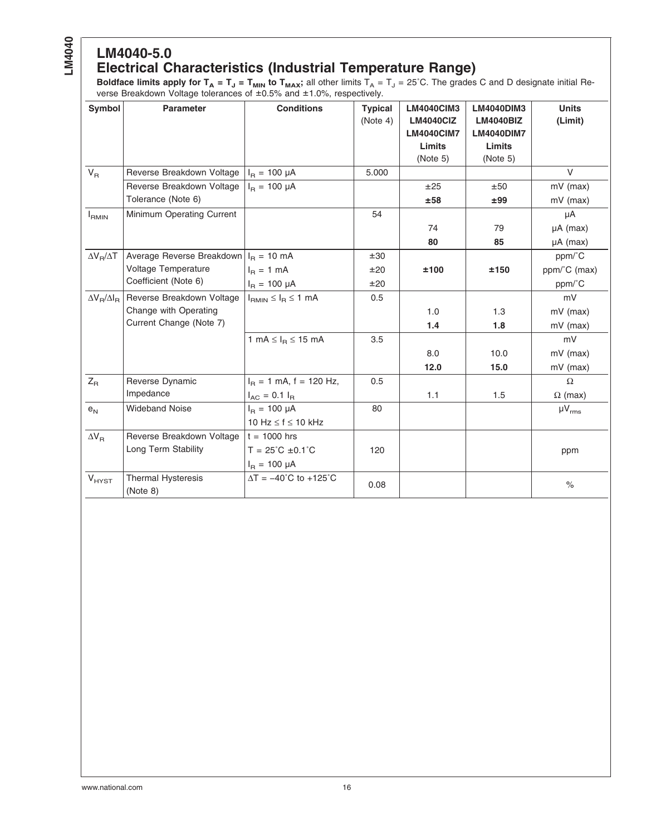#### **LM4040-5.0 Electrical Characteristics (Industrial Temperature Range)**

**Boldface limits apply for T<sub>A</sub> = T<sub>J</sub> = T<sub>MIN</sub> to T<sub>MAX</sub>;** all other limits T<sub>A</sub> = T<sub>J</sub> = 25°C. The grades C and D designate initial Reverse Breakdown Voltage tolerances of ±0.5% and ±1.0%, respectively.

| <b>Symbol</b>           | <b>Parameter</b>               | <b>Conditions</b>                                     | <b>Typical</b> | <b>LM4040CIM3</b><br><b>LM4040ClZ</b> | <b>LM4040DIM3</b><br><b>LM4040BIZ</b> | <b>Units</b>   |
|-------------------------|--------------------------------|-------------------------------------------------------|----------------|---------------------------------------|---------------------------------------|----------------|
|                         |                                |                                                       | (Note 4)       | <b>LM4040CIM7</b>                     | <b>LM4040DIM7</b>                     | (Limit)        |
|                         |                                |                                                       |                | Limits                                | Limits                                |                |
|                         |                                |                                                       |                | (Note 5)                              | (Note 5)                              |                |
| $V_R$                   | Reverse Breakdown Voltage      | $I_{B} = 100 \mu A$                                   | 5.000          |                                       |                                       | $\vee$         |
|                         | Reverse Breakdown Voltage      | $I_B = 100 \mu A$                                     |                | ±25                                   | ±50                                   | $mV$ (max)     |
|                         | Tolerance (Note 6)             |                                                       |                | ±58                                   | ±99                                   | $mV$ (max)     |
| $I_{RMIN}$              | Minimum Operating Current      |                                                       | 54             |                                       |                                       | μA             |
|                         |                                |                                                       |                | 74                                    | 79                                    | $\mu A$ (max)  |
|                         |                                |                                                       |                | 80                                    | 85                                    | $\mu A$ (max)  |
| $\Delta V_B/\Delta T$   | Average Reverse Breakdown      | $I_R = 10 \text{ mA}$                                 | ±30            |                                       |                                       | ppm/°C         |
|                         | Voltage Temperature            | $IB = 1 mA$                                           | ±20            | ±100                                  | ±150                                  | ppm/°C (max)   |
|                         | Coefficient (Note 6)           | $I_B = 100 \mu A$                                     | ±20            |                                       |                                       | ppm/°C         |
| $\Delta V_B/\Delta I_B$ | Reverse Breakdown Voltage      | $I_{\text{RMIN}} \leq I_{\text{R}} \leq 1 \text{ mA}$ | 0.5            |                                       |                                       | mV             |
|                         | Change with Operating          |                                                       |                | 1.0                                   | 1.3                                   | $mV$ (max)     |
|                         | Current Change (Note 7)        |                                                       |                | 1.4                                   | 1.8                                   | $mV$ (max)     |
|                         |                                | 1 mA $\leq$ $I_R \leq$ 15 mA                          | 3.5            |                                       |                                       | mV             |
|                         |                                |                                                       |                | 8.0                                   | 10.0                                  | $mV$ (max)     |
|                         |                                |                                                       |                | 12.0                                  | 15.0                                  | $mV$ (max)     |
| $Z_{\mathsf{R}}$        | Reverse Dynamic                | $I_B = 1$ mA, f = 120 Hz,                             | 0.5            |                                       |                                       | $\Omega$       |
|                         | Impedance                      | $I_{AC} = 0.1 I_{B}$                                  |                | 1.1                                   | 1.5                                   | $\Omega$ (max) |
| $e_N$                   | <b>Wideband Noise</b>          | $I_B = 100 \mu A$                                     | 80             |                                       |                                       | $\mu V_{rms}$  |
|                         |                                | 10 Hz $\leq$ f $\leq$ 10 kHz                          |                |                                       |                                       |                |
| $\Delta V_R$            | Reverse Breakdown Voltage      | $t = 1000$ hrs                                        |                |                                       |                                       |                |
|                         | Long Term Stability            | $T = 25^{\circ}C \pm 0.1^{\circ}C$                    | 120            |                                       |                                       | ppm            |
|                         |                                | $I_R = 100 \mu A$                                     |                |                                       |                                       |                |
| $V_{HYST}$              | Thermal Hysteresis<br>(Note 8) | $\Delta T = -40^{\circ}C$ to +125°C                   | 0.08           |                                       |                                       | $\%$           |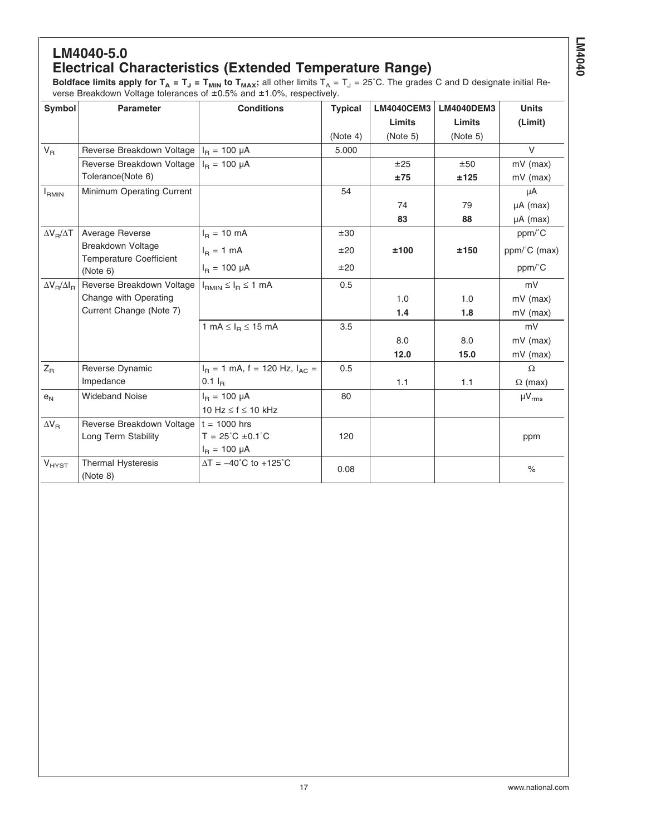#### **LM4040-5.0 Electrical Characteristics (Extended Temperature Range)**

**Boldface limits apply for T<sub>A</sub> = T<sub>J</sub> = T<sub>MIN</sub> to T<sub>MAX</sub>; all other limits T<sub>A</sub> = T<sub>J</sub> = 25°C. The grades C and D designate initial Re**verse Breakdown Voltage tolerances of ±0.5% and ±1.0%, respectively.

| <b>Parameter</b>                                     | <b>Conditions</b>                                         | <b>Typical</b>                                                                                        | <b>LM4040CEM3</b> | <b>LM4040DEM3</b> | <b>Units</b>   |
|------------------------------------------------------|-----------------------------------------------------------|-------------------------------------------------------------------------------------------------------|-------------------|-------------------|----------------|
|                                                      |                                                           |                                                                                                       | <b>Limits</b>     | Limits            | (Limit)        |
|                                                      |                                                           | (Note 4)                                                                                              | (Note 5)          | (Note 5)          |                |
|                                                      |                                                           | 5.000                                                                                                 |                   |                   | $\vee$         |
|                                                      | $I_B = 100 \mu A$                                         |                                                                                                       | ±25               | ±50               | $mV$ (max)     |
| Tolerance(Note 6)                                    |                                                           |                                                                                                       | ±75               | ±125              | $mV$ (max)     |
| Minimum Operating Current                            |                                                           | 54                                                                                                    |                   |                   | μA             |
|                                                      |                                                           |                                                                                                       | 74                | 79                | $\mu A$ (max)  |
|                                                      |                                                           |                                                                                                       | 83                | 88                | $\mu A$ (max)  |
| Average Reverse                                      | $I_B = 10$ mA                                             | ±30                                                                                                   |                   |                   | ppm/°C         |
| Breakdown Voltage                                    | $I_B = 1$ mA                                              | ±20                                                                                                   | ±100              | ±150              | ppm/°C (max)   |
| (Note 6)                                             | $I_B = 100 \mu A$                                         | ±20                                                                                                   |                   |                   | ppm/°C         |
| Reverse Breakdown Voltage<br>$\Delta V_R/\Delta I_R$ | $I_{RMIN} \leq I_R \leq 1$ mA                             | 0.5                                                                                                   |                   |                   | mV             |
| Change with Operating                                |                                                           |                                                                                                       | 1.0               | 1.0               | $mV$ (max)     |
|                                                      |                                                           |                                                                                                       | 1.4               | 1.8               | mV (max)       |
|                                                      | 1 mA $\leq$ $I_R \leq$ 15 mA                              | 3.5                                                                                                   |                   |                   | mV             |
|                                                      |                                                           |                                                                                                       | 8.0               | 8.0               | $mV$ (max)     |
|                                                      |                                                           |                                                                                                       | 12.0              | 15.0              | mV (max)       |
| Reverse Dynamic                                      | $I_R = 1$ mA, f = 120 Hz, $I_{AC} =$                      | 0.5                                                                                                   |                   |                   | $\Omega$       |
| Impedance                                            | $0.1 I_B$                                                 |                                                                                                       | 1.1               | 1.1               | $\Omega$ (max) |
| <b>Wideband Noise</b>                                | $I_B = 100 \mu A$                                         | 80                                                                                                    |                   |                   | $\mu V_{rms}$  |
|                                                      | 10 Hz $\leq$ f $\leq$ 10 kHz                              |                                                                                                       |                   |                   |                |
| Reverse Breakdown Voltage                            |                                                           |                                                                                                       |                   |                   |                |
| Long Term Stability                                  | $T = 25^{\circ}C \pm 0.1^{\circ}C$                        | 120                                                                                                   |                   |                   | ppm            |
|                                                      | $I_{B} = 100 \mu A$                                       |                                                                                                       |                   |                   |                |
| <b>Thermal Hysteresis</b><br>(Note 8)                | $\Delta T = -40^{\circ}C$ to +125°C                       | 0.08                                                                                                  |                   |                   | $\%$           |
|                                                      | <b>Temperature Coefficient</b><br>Current Change (Note 7) | Reverse Breakdown Voltage $ I_{\text{B}}  = 100 \mu A$<br>Reverse Breakdown Voltage<br>$t = 1000$ hrs |                   |                   |                |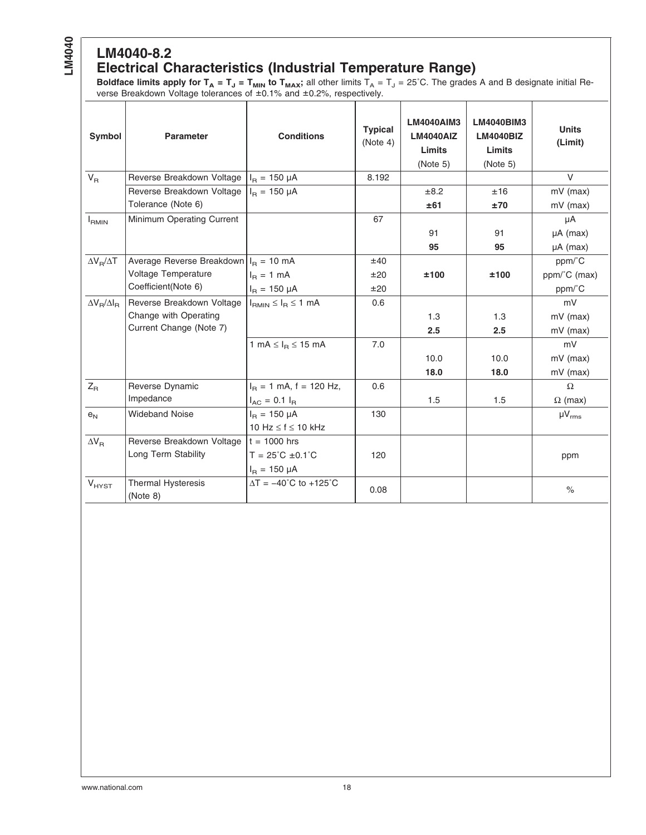# **LM4040-8.2**

#### **Electrical Characteristics (Industrial Temperature Range)**

**Boldface limits apply for T<sub>A</sub> = T<sub>J</sub> = T<sub>MIN</sub> to T<sub>MAX</sub>;** all other limits T<sub>A</sub> = T<sub>J</sub> = 25°C. The grades A and B designate initial Reverse Breakdown Voltage tolerances of ±0.1% and ±0.2%, respectively.

| Symbol                  | <b>Parameter</b>                                          | <b>Conditions</b>                            | <b>Typical</b><br>(Note 4) | <b>LM4040AIM3</b><br><b>LM4040AIZ</b><br>Limits<br>(Note 5) | <b>LM4040BIM3</b><br><b>LM4040BIZ</b><br>Limits<br>(Note 5) | <b>Units</b><br>(Limit) |
|-------------------------|-----------------------------------------------------------|----------------------------------------------|----------------------------|-------------------------------------------------------------|-------------------------------------------------------------|-------------------------|
| $V_{\rm R}$             | Reverse Breakdown Voltage                                 | $I_{\rm B} = 150 \mu A$                      | 8.192                      |                                                             |                                                             | $\vee$                  |
|                         | Reverse Breakdown Voltage                                 | $I_{\rm B} = 150 \mu A$                      |                            | ±8.2                                                        | ±16                                                         | $mV$ (max)              |
|                         | Tolerance (Note 6)                                        |                                              |                            | ±61                                                         | ±70                                                         | $mV$ (max)              |
| $I_{RMIN}$              | Minimum Operating Current                                 |                                              | 67                         |                                                             |                                                             | μA                      |
|                         |                                                           |                                              |                            | 91                                                          | 91                                                          | $\mu A$ (max)           |
|                         |                                                           |                                              |                            | 95                                                          | 95                                                          | $\mu A$ (max)           |
| $\Delta V_B/\Delta T$   | Average Reverse Breakdown $ I_{\text{B}} = 10 \text{ mA}$ |                                              | ±40                        |                                                             |                                                             | ppm/°C                  |
|                         | Voltage Temperature                                       | $I_B = 1$ mA                                 | ±20                        | ±100                                                        | ±100                                                        | ppm/°C (max)            |
|                         | Coefficient(Note 6)                                       | $I_{\rm B} = 150 \mu A$                      | ±20                        |                                                             |                                                             | ppm/°C                  |
| $\Delta V_R/\Delta I_R$ | Reverse Breakdown Voltage                                 | $I_{RMIN} \leq I_R \leq 1$ mA                | 0.6                        |                                                             |                                                             | mV                      |
|                         | Change with Operating                                     |                                              |                            | 1.3                                                         | 1.3                                                         | $mV$ (max)              |
|                         | Current Change (Note 7)                                   |                                              |                            | 2.5                                                         | 2.5                                                         | $mV$ (max)              |
|                         |                                                           | 1 mA $\leq$ $I_R \leq$ 15 mA                 | 7.0                        |                                                             |                                                             | mV                      |
|                         |                                                           |                                              |                            | 10.0                                                        | 10.0                                                        | $mV$ (max)              |
|                         |                                                           |                                              |                            | 18.0                                                        | 18.0                                                        | mV (max)                |
| $Z_{\rm R}$             | Reverse Dynamic                                           | $I_B = 1$ mA, f = 120 Hz,                    | 0.6                        |                                                             |                                                             | $\Omega$                |
|                         | Impedance                                                 | $I_{AC}$ = 0.1 $I_{B}$                       |                            | 1.5                                                         | 1.5                                                         | $\Omega$ (max)          |
| e <sub>N</sub>          | <b>Wideband Noise</b>                                     | $I_B = 150 \mu A$                            | 130                        |                                                             |                                                             | $\mu V_{rms}$           |
|                         |                                                           | 10 Hz $\leq$ f $\leq$ 10 kHz                 |                            |                                                             |                                                             |                         |
| $\Delta V_B$            | Reverse Breakdown Voltage                                 | $t = 1000$ hrs                               |                            |                                                             |                                                             |                         |
|                         | Long Term Stability                                       | $T = 25^{\circ}C \pm 0.1^{\circ}C$           | 120                        |                                                             |                                                             | ppm                     |
|                         |                                                           | $I_B = 150 \mu A$                            |                            |                                                             |                                                             |                         |
| $V_{HYST}$              | Thermal Hysteresis<br>(Note 8)                            | $\Delta T = -40^{\circ}C$ to $+125^{\circ}C$ | 0.08                       |                                                             |                                                             | $\frac{1}{\sqrt{2}}$    |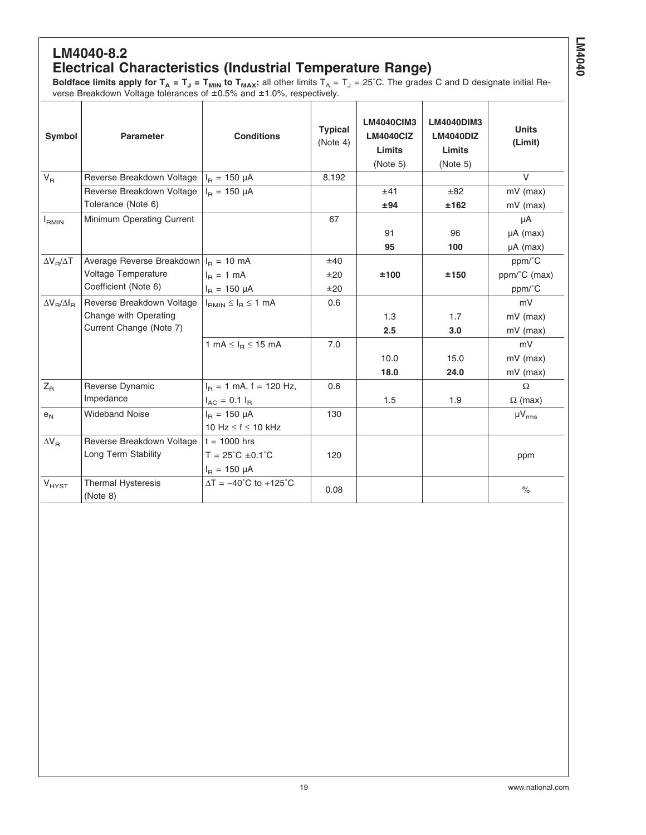#### **LM4040-8.2 Electrical Characteristics (Industrial Temperature Range)**

**Boldface limits apply for T<sub>A</sub> = T<sub>J</sub> = T<sub>MIN</sub> to T<sub>MAX</sub>; all other limits T<sub>A</sub> = T<sub>J</sub> = 25°C. The grades C and D designate initial Re**verse Breakdown Voltage tolerances of ±0.5% and ±1.0%, respectively.

| Symbol                  | <b>Parameter</b>                        | <b>Conditions</b>                             | <b>Typical</b><br>(Note 4) | LM4040CIM3<br><b>LM4040ClZ</b><br>Limits<br>(Note 5) | LM4040DIM3<br>LM4040DIZ<br>Limits<br>(Note 5) | <b>Units</b><br>(Limit) |
|-------------------------|-----------------------------------------|-----------------------------------------------|----------------------------|------------------------------------------------------|-----------------------------------------------|-------------------------|
| $V_{B}$                 | Reverse Breakdown Voltage               | $I_{\rm B} = 150 \mu A$                       | 8.192                      |                                                      |                                               | $\vee$                  |
|                         | Reverse Breakdown Voltage               | $I_{\rm B} = 150 \mu A$                       |                            | ±41                                                  | ±82                                           | $mV$ (max)              |
|                         | Tolerance (Note 6)                      |                                               |                            | ±94                                                  | ±162                                          | $mV$ (max)              |
| $I_{RMIN}$              | Minimum Operating Current               |                                               | 67                         |                                                      |                                               | μA                      |
|                         |                                         |                                               |                            | 91                                                   | 96                                            | $\mu A$ (max)           |
|                         |                                         |                                               |                            | 95                                                   | 100                                           | $\mu A$ (max)           |
| $\Delta V_B/\Delta T$   | Average Reverse Breakdown $I_R = 10$ mA |                                               | ±40                        |                                                      |                                               | ppm/°C                  |
|                         | Voltage Temperature                     | $I_B = 1$ mA                                  | ±20                        | ±100                                                 | ±150                                          | ppm/°C (max)            |
|                         | Coefficient (Note 6)                    | $I_R = 150 \mu A$                             | ±20                        |                                                      |                                               | ppm/°C                  |
| $\Delta V_B/\Delta I_B$ | Reverse Breakdown Voltage               | $I_{RMIN} \leq I_R \leq 1$ mA                 | 0.6                        |                                                      |                                               | mV                      |
|                         | Change with Operating                   |                                               |                            | 1.3                                                  | 1.7                                           | $mV$ (max)              |
|                         | Current Change (Note 7)                 |                                               |                            | 2.5                                                  | 3.0                                           | $mV$ (max)              |
|                         |                                         | 1 mA $\leq$ $I_R \leq$ 15 mA                  | 7.0                        |                                                      |                                               | mV                      |
|                         |                                         |                                               |                            | 10.0                                                 | 15.0                                          | mV (max)                |
|                         |                                         |                                               |                            | 18.0                                                 | 24.0                                          | $mV$ (max)              |
| $Z_{R}$                 | Reverse Dynamic                         | $I_B = 1$ mA, f = 120 Hz,                     | 0.6                        |                                                      |                                               | $\Omega$                |
|                         | Impedance                               | $I_{AC} = 0.1 I_{B}$                          |                            | 1.5                                                  | 1.9                                           | $\Omega$ (max)          |
| e <sub>N</sub>          | <b>Wideband Noise</b>                   | $I_{\rm B} = 150 \mu A$                       | 130                        |                                                      |                                               | $\mu V_{rms}$           |
|                         |                                         | 10 Hz $\leq$ f $\leq$ 10 kHz                  |                            |                                                      |                                               |                         |
| $\Delta V_B$            | Reverse Breakdown Voltage               | $t = 1000$ hrs                                |                            |                                                      |                                               |                         |
|                         | Long Term Stability                     | $T = 25^{\circ}C \pm 0.1^{\circ}C$            | 120                        |                                                      |                                               | ppm                     |
|                         |                                         | $I_{\rm B} = 150 \mu A$                       |                            |                                                      |                                               |                         |
| $V_{HYST}$              | <b>Thermal Hysteresis</b><br>(Note 8)   | $\Delta T = -40^{\circ}C$ to +125 $^{\circ}C$ | 0.08                       |                                                      |                                               | $\frac{1}{2}$           |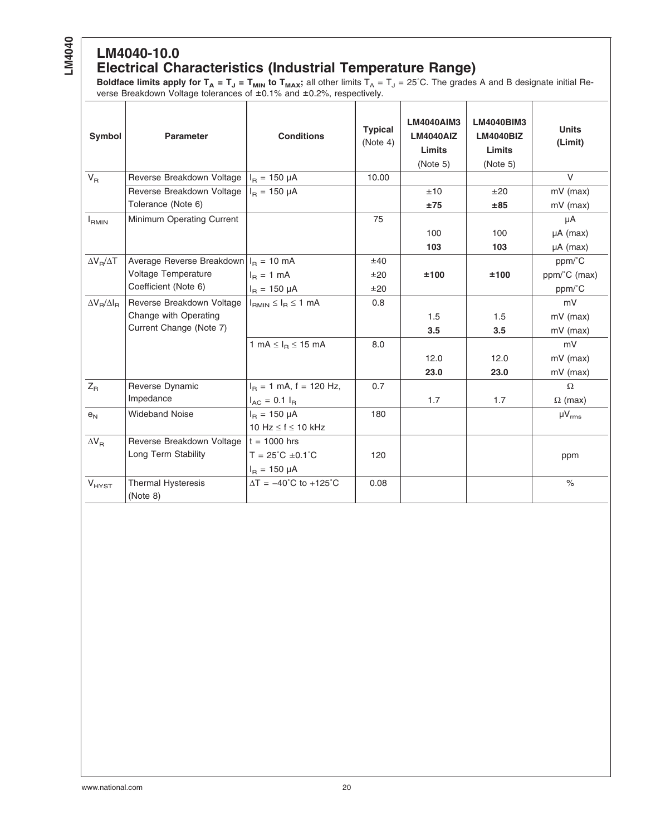# **LM4040-10.0**

#### **Electrical Characteristics (Industrial Temperature Range)**

**Boldface limits apply for T<sub>A</sub> = T<sub>J</sub> = T<sub>MIN</sub> to T<sub>MAX</sub>;** all other limits T<sub>A</sub> = T<sub>J</sub> = 25°C. The grades A and B designate initial Reverse Breakdown Voltage tolerances of ±0.1% and ±0.2%, respectively.

| Symbol                  | <b>Parameter</b>                       | <b>Conditions</b>                   | <b>Typical</b><br>(Note 4) | <b>LM4040AIM3</b><br><b>LM4040AIZ</b><br>Limits<br>(Note 5) | <b>LM4040BIM3</b><br><b>LM4040BIZ</b><br>Limits<br>(Note 5) | <b>Units</b><br>(Limit) |
|-------------------------|----------------------------------------|-------------------------------------|----------------------------|-------------------------------------------------------------|-------------------------------------------------------------|-------------------------|
| $V_{\rm R}$             | Reverse Breakdown Voltage              | $I_{\rm B} = 150 \mu A$             | 10.00                      |                                                             |                                                             | $\vee$                  |
|                         | Reverse Breakdown Voltage              | $I_{\rm B} = 150 \mu A$             |                            | ±10                                                         | ±20                                                         | $mV$ (max)              |
|                         | Tolerance (Note 6)                     |                                     |                            | ±75                                                         | ±85                                                         | $mV$ (max)              |
| $I_{RMIN}$              | Minimum Operating Current              |                                     | 75                         |                                                             |                                                             | μA                      |
|                         |                                        |                                     |                            | 100                                                         | 100                                                         | $\mu A$ (max)           |
|                         |                                        |                                     |                            | 103                                                         | 103                                                         | $\mu A$ (max)           |
| $\Delta V_B/\Delta T$   | Average Reverse Breakdown $IR = 10$ mA |                                     | ±40                        |                                                             |                                                             | ppm/°C                  |
|                         | Voltage Temperature                    | $I_B = 1$ mA                        | ±20                        | ±100                                                        | ±100                                                        | ppm/°C (max)            |
|                         | Coefficient (Note 6)                   | $I_{\rm B} = 150 \mu A$             | ±20                        |                                                             |                                                             | ppm/°C                  |
| $\Delta V_R/\Delta I_R$ | Reverse Breakdown Voltage              | $I_{RMIN} \leq I_R \leq 1$ mA       | 0.8                        |                                                             |                                                             | mV                      |
|                         | Change with Operating                  |                                     |                            | 1.5                                                         | 1.5                                                         | $mV$ (max)              |
|                         | Current Change (Note 7)                |                                     |                            | 3.5                                                         | 3.5                                                         | $mV$ (max)              |
|                         |                                        | 1 mA $\leq$ $I_R \leq$ 15 mA        | 8.0                        |                                                             |                                                             | mV                      |
|                         |                                        |                                     |                            | 12.0                                                        | 12.0                                                        | $mV$ (max)              |
|                         |                                        |                                     |                            | 23.0                                                        | 23.0                                                        | mV (max)                |
| $Z_{\rm R}$             | Reverse Dynamic                        | $I_B = 1$ mA, f = 120 Hz,           | 0.7                        |                                                             |                                                             | $\Omega$                |
|                         | Impedance                              | $I_{AC}$ = 0.1 $I_{B}$              |                            | 1.7                                                         | 1.7                                                         | $\Omega$ (max)          |
| e <sub>N</sub>          | <b>Wideband Noise</b>                  | $I_B = 150 \mu A$                   | 180                        |                                                             |                                                             | $\mu V_{rms}$           |
|                         |                                        | 10 Hz $\leq$ f $\leq$ 10 kHz        |                            |                                                             |                                                             |                         |
| $\Delta V_B$            | Reverse Breakdown Voltage              | $t = 1000$ hrs                      |                            |                                                             |                                                             |                         |
|                         | Long Term Stability                    | $T = 25^{\circ}C \pm 0.1^{\circ}C$  | 120                        |                                                             |                                                             | ppm                     |
|                         |                                        | $I_B = 150 \mu A$                   |                            |                                                             |                                                             |                         |
| $V_{HYST}$              | Thermal Hysteresis<br>(Note 8)         | $\Delta T = -40^{\circ}C$ to +125°C | 0.08                       |                                                             |                                                             | $\frac{1}{2}$           |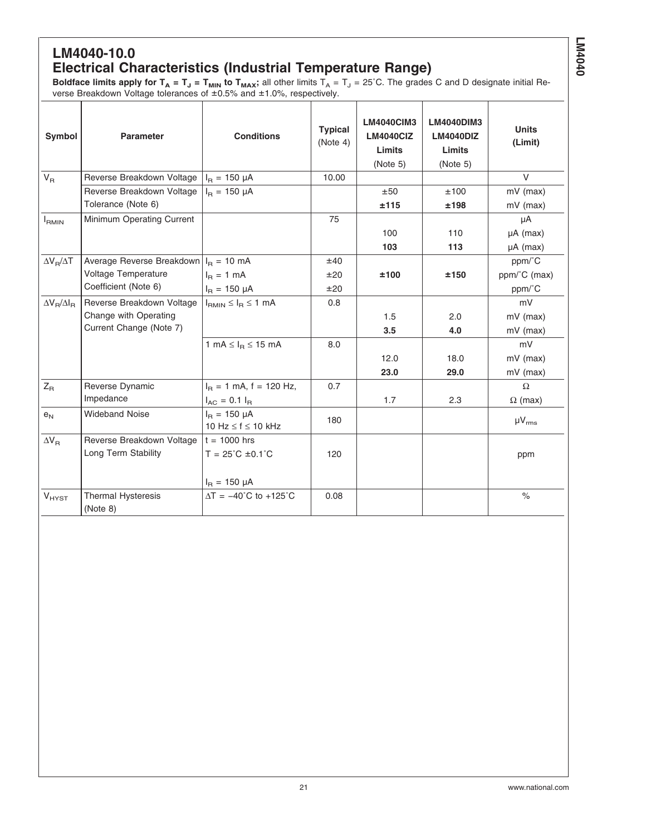#### **LM4040-10.0 Electrical Characteristics (Industrial Temperature Range)**

**Boldface limits apply for T<sub>A</sub> = T<sub>J</sub> = T<sub>MIN</sub> to T<sub>MAX</sub>; all other limits T<sub>A</sub> = T<sub>J</sub> = 25°C. The grades C and D designate initial Re**verse Breakdown Voltage tolerances of ±0.5% and ±1.0%, respectively.

| Symbol                  | <b>Parameter</b>                                          | <b>Conditions</b>                   | <b>Typical</b><br>(Note 4) | <b>LM4040CIM3</b><br><b>LM4040CIZ</b><br>Limits<br>(Note 5) | <b>LM4040DIM3</b><br>LM4040DIZ<br>Limits<br>(Note 5) | <b>Units</b><br>(Limit) |
|-------------------------|-----------------------------------------------------------|-------------------------------------|----------------------------|-------------------------------------------------------------|------------------------------------------------------|-------------------------|
| $V_{R}$                 | Reverse Breakdown Voltage $ I_{\text{B}}  = 150 \mu A$    |                                     | 10.00                      |                                                             |                                                      | $\vee$                  |
|                         | Reverse Breakdown Voltage                                 | $I_{\rm B} = 150 \mu A$             |                            | ±50                                                         | ±100                                                 | $mV$ (max)              |
|                         | Tolerance (Note 6)                                        |                                     |                            | ±115                                                        | ±198                                                 | $mV$ (max)              |
| $I_{RMIN}$              | Minimum Operating Current                                 |                                     | 75                         |                                                             |                                                      | μA                      |
|                         |                                                           |                                     |                            | 100                                                         | 110                                                  | µA (max)                |
|                         |                                                           |                                     |                            | 103                                                         | 113                                                  | $\mu A$ (max)           |
| $\Delta V_B/\Delta T$   | Average Reverse Breakdown $ I_{\text{B}} = 10 \text{ mA}$ |                                     | ±40                        |                                                             |                                                      | ppm/°C                  |
|                         | Voltage Temperature                                       | $I_B = 1$ mA                        | ±20                        | ±100                                                        | ±150                                                 | ppm/°C (max)            |
|                         | Coefficient (Note 6)                                      | $I_R = 150 \mu A$                   | ±20                        |                                                             |                                                      | ppm/°C                  |
| $\Delta V_B/\Delta I_B$ | Reverse Breakdown Voltage                                 | $I_{RMIN} \leq I_R \leq 1$ mA       | 0.8                        |                                                             |                                                      | mV                      |
|                         | Change with Operating                                     |                                     |                            | 1.5                                                         | 2.0                                                  | $mV$ (max)              |
|                         | Current Change (Note 7)                                   |                                     |                            | 3.5                                                         | 4.0                                                  | mV (max)                |
|                         |                                                           | 1 mA $\leq$ $I_B \leq$ 15 mA        | 8.0                        |                                                             |                                                      | mV                      |
|                         |                                                           |                                     |                            | 12.0                                                        | 18.0                                                 | $mV$ (max)              |
|                         |                                                           |                                     |                            | 23.0                                                        | 29.0                                                 | $mV$ (max)              |
| $Z_{\mathsf{R}}$        | Reverse Dynamic                                           | $I_B = 1$ mA, f = 120 Hz,           | 0.7                        |                                                             |                                                      | $\Omega$                |
|                         | Impedance                                                 | $I_{AC} = 0.1 I_{B}$                |                            | 1.7                                                         | 2.3                                                  | $\Omega$ (max)          |
| e <sub>N</sub>          | <b>Wideband Noise</b>                                     | $I_B = 150 \mu A$                   | 180                        |                                                             |                                                      |                         |
|                         |                                                           | 10 Hz $\leq$ f $\leq$ 10 kHz        |                            |                                                             |                                                      | $\mu V_{rms}$           |
| $\Delta V_R$            | Reverse Breakdown Voltage                                 | $t = 1000$ hrs                      |                            |                                                             |                                                      |                         |
|                         | Long Term Stability                                       | $T = 25^{\circ}C \pm 0.1^{\circ}C$  | 120                        |                                                             |                                                      | ppm                     |
|                         |                                                           | $I_R = 150 \mu A$                   |                            |                                                             |                                                      |                         |
| $V_{HYST}$              | <b>Thermal Hysteresis</b><br>(Note 8)                     | $\Delta T = -40^{\circ}C$ to +125°C | 0.08                       |                                                             |                                                      | $\frac{1}{2}$           |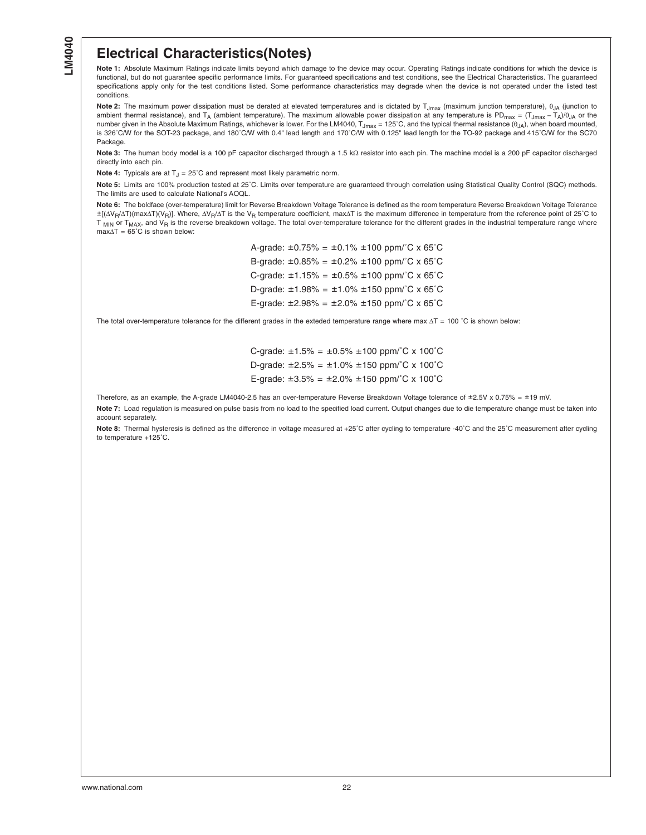#### <span id="page-21-0"></span>**Electrical Characteristics(Notes)**

**Note 1:** Absolute Maximum Ratings indicate limits beyond which damage to the device may occur. Operating Ratings indicate conditions for which the device is functional, but do not guarantee specific performance limits. For guaranteed specifications and test conditions, see the Electrical Characteristics. The guaranteed specifications apply only for the test conditions listed. Some performance characteristics may degrade when the device is not operated under the listed test conditions.

**Note 2:** The maximum power dissipation must be derated at elevated temperatures and is dictated by T<sub>Jmax</sub> (maximum junction temperature), θ<sub>JA</sub> (junction to ambient thermal resistance), and T<sub>A</sub> (ambient temperature). The maximum allowable power dissipation at any temperature is PD<sub>max</sub> = (T<sub>Jmax</sub> - T<sub>A</sub>)/θ<sub>JA</sub> or the number given in the Absolute Maximum Ratings, whichever is lower. For the LM4040,  $T_{Jmax}$  = 125°C, and the typical thermal resistance  $(\theta_{JA})$ , when board mounted, is 326˚C/W for the SOT-23 package, and 180˚C/W with 0.4" lead length and 170˚C/W with 0.125" lead length for the TO-92 package and 415˚C/W for the SC70 Package.

**Note 3:** The human body model is a 100 pF capacitor discharged through a 1.5 kΩ resistor into each pin. The machine model is a 200 pF capacitor discharged directly into each pin.

**Note 4:** Typicals are at  $T_1 = 25^\circ \text{C}$  and represent most likely parametric norm.

**Note 5:** Limits are 100% production tested at 25˚C. Limits over temperature are guaranteed through correlation using Statistical Quality Control (SQC) methods. The limits are used to calculate National's AOQL.

**Note 6:** The boldface (over-temperature) limit for Reverse Breakdown Voltage Tolerance is defined as the room temperature Reverse Breakdown Voltage Tolerance ±[(ΔV<sub>R</sub>/ΔT)(max∆T)(V<sub>R</sub>)]. Where, ΔV<sub>R</sub>/ΔT is the V<sub>R</sub> temperature coefficient, max∆T is the maximum difference in temperature from the reference point of 25°C to  $T_{MIN}$  or  $T_{MAX}$ , and  $V_R$  is the reverse breakdown voltage. The total over-temperature tolerance for the different grades in the industrial temperature range where  $max\Delta T = 65^{\circ}C$  is shown below:

> A-grade:  $\pm 0.75\% = \pm 0.1\% \pm 100$  ppm/ $\degree$ C x 65 $\degree$ C B-grade:  $\pm 0.85\% = \pm 0.2\% \pm 100$  ppm/°C x 65°C C-grade:  $\pm 1.15\% = \pm 0.5\% \pm 100$  ppm/°C x 65°C D-grade:  $\pm 1.98\% = \pm 1.0\% \pm 150$  ppm/°C x 65°C E-grade:  $\pm 2.98\% = \pm 2.0\% \pm 150$  ppm/°C x 65°C

The total over-temperature tolerance for the different grades in the exteded temperature range where max ∆T = 100 ℃ is shown below:

C-grade:  $\pm 1.5\% = \pm 0.5\% \pm 100$  ppm/°C x 100°C D-grade:  $\pm 2.5\% = \pm 1.0\% \pm 150$  ppm/°C x 100°C E-grade:  $\pm 3.5\% = \pm 2.0\% \pm 150$  ppm/°C x 100°C

Therefore, as an example, the A-grade LM4040-2.5 has an over-temperature Reverse Breakdown Voltage tolerance of ±2.5V x 0.75% = ±19 mV.

**Note 7:** Load regulation is measured on pulse basis from no load to the specified load current. Output changes due to die temperature change must be taken into account separately.

**Note 8:** Thermal hysteresis is defined as the difference in voltage measured at +25˚C after cycling to temperature -40˚C and the 25˚C measurement after cycling to temperature +125˚C.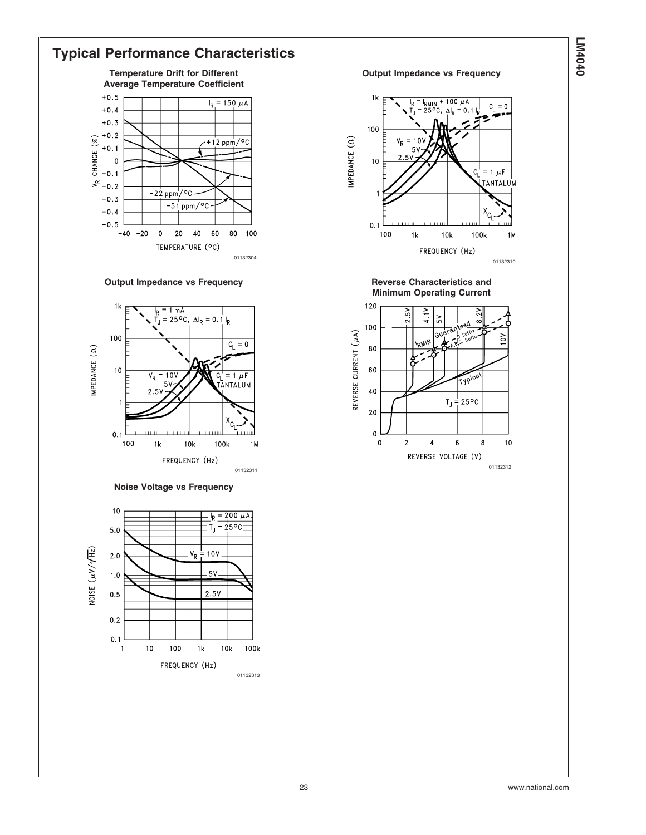#### **Typical Performance Characteristics**

**Temperature Drift for Different Average Temperature Coefficient**



#### **Output Impedance vs Frequency Community Community Reverse Characteristics and**



**Noise Voltage vs Frequency**



#### **Output Impedance vs Frequency**



**Minimum Operating Current**

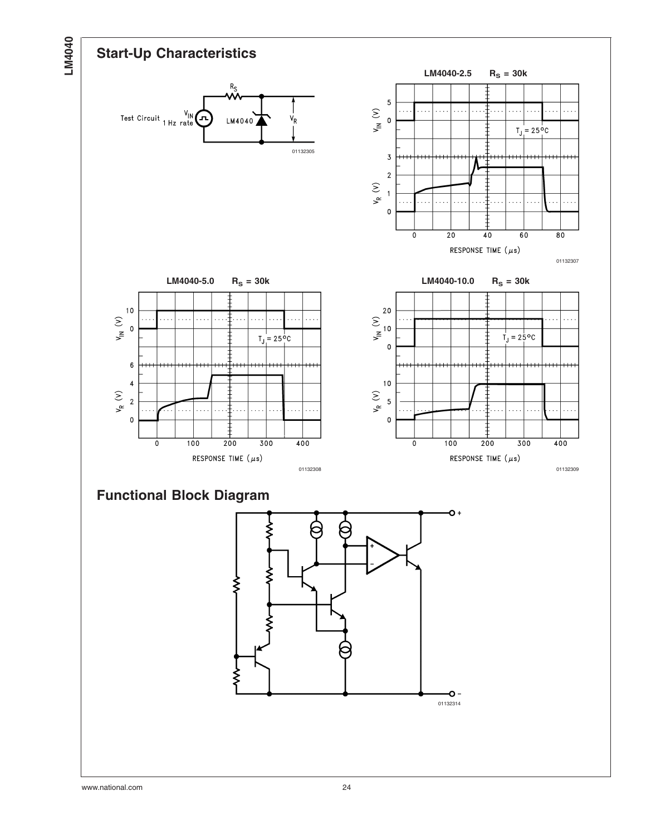

www.national.com 24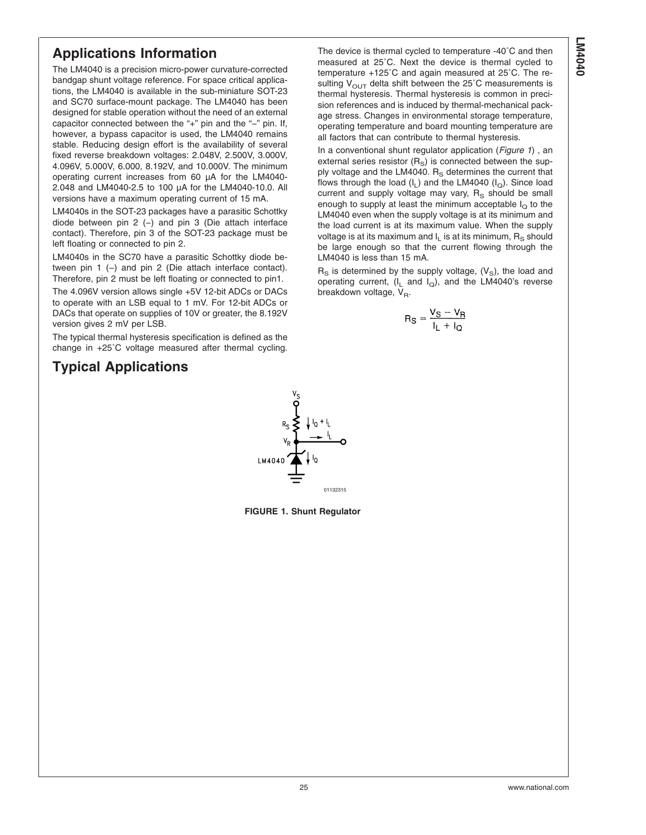#### **Applications Information**

The LM4040 is a precision micro-power curvature-corrected bandgap shunt voltage reference. For space critical applications, the LM4040 is available in the sub-miniature SOT-23 and SC70 surface-mount package. The LM4040 has been designed for stable operation without the need of an external capacitor connected between the "+" pin and the "−" pin. If, however, a bypass capacitor is used, the LM4040 remains stable. Reducing design effort is the availability of several fixed reverse breakdown voltages: 2.048V, 2.500V, 3.000V, 4.096V, 5.000V, 6.000, 8.192V, and 10.000V. The minimum operating current increases from 60 µA for the LM4040- 2.048 and LM4040-2.5 to 100 µA for the LM4040-10.0. All versions have a maximum operating current of 15 mA.

LM4040s in the SOT-23 packages have a parasitic Schottky diode between pin 2 (−) and pin 3 (Die attach interface contact). Therefore, pin 3 of the SOT-23 package must be left floating or connected to pin 2.

LM4040s in the SC70 have a parasitic Schottky diode between pin 1 (−) and pin 2 (Die attach interface contact). Therefore, pin 2 must be left floating or connected to pin1.

The 4.096V version allows single +5V 12-bit ADCs or DACs to operate with an LSB equal to 1 mV. For 12-bit ADCs or DACs that operate on supplies of 10V or greater, the 8.192V version gives 2 mV per LSB.

The typical thermal hysteresis specification is defined as the change in +25˚C voltage measured after thermal cycling.

#### **Typical Applications**

The device is thermal cycled to temperature -40˚C and then measured at 25˚C. Next the device is thermal cycled to temperature +125˚C and again measured at 25˚C. The resulting  $V_{\text{OUT}}$  delta shift between the 25°C measurements is thermal hysteresis. Thermal hysteresis is common in precision references and is induced by thermal-mechanical package stress. Changes in environmental storage temperature, operating temperature and board mounting temperature are all factors that can contribute to thermal hysteresis.

In a conventional shunt regulator application (*Figure 1*) , an external series resistor  $(R<sub>S</sub>)$  is connected between the supply voltage and the LM4040.  $R<sub>S</sub>$  determines the current that flows through the load  $(I_L)$  and the LM4040  $(I_O)$ . Since load current and supply voltage may vary,  $R<sub>S</sub>$  should be small enough to supply at least the minimum acceptable  $I_Q$  to the LM4040 even when the supply voltage is at its minimum and the load current is at its maximum value. When the supply voltage is at its maximum and  $I_1$  is at its minimum,  $R_S$  should be large enough so that the current flowing through the LM4040 is less than 15 mA.

 $R<sub>S</sub>$  is determined by the supply voltage, (V<sub>S</sub>), the load and operating current,  $(I_L \text{ and } I_Q)$ , and the LM4040's reverse breakdown voltage,  $V_{\text{B}}$ .

$$
R_S = \frac{V_S - V_R}{I_L + I_Q}
$$



**FIGURE 1. Shunt Regulator**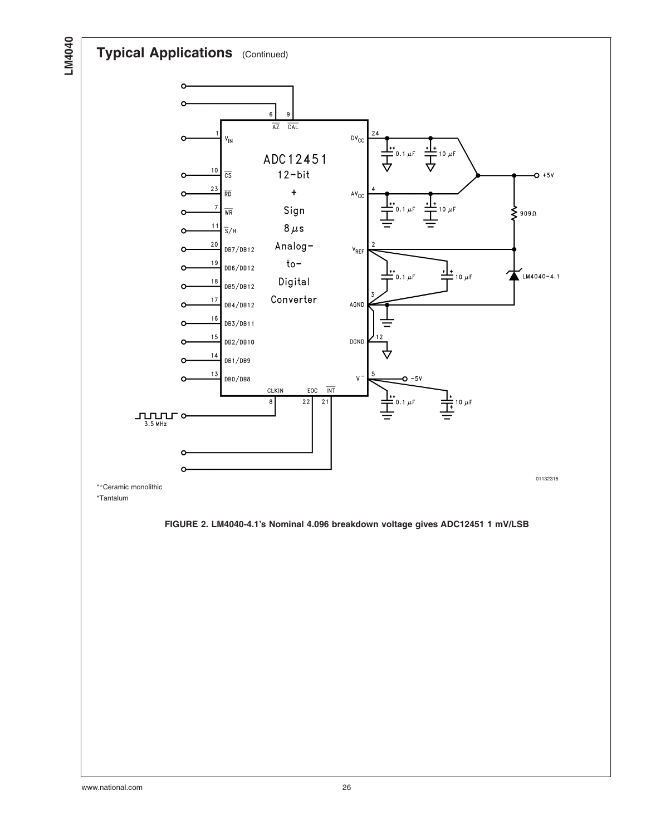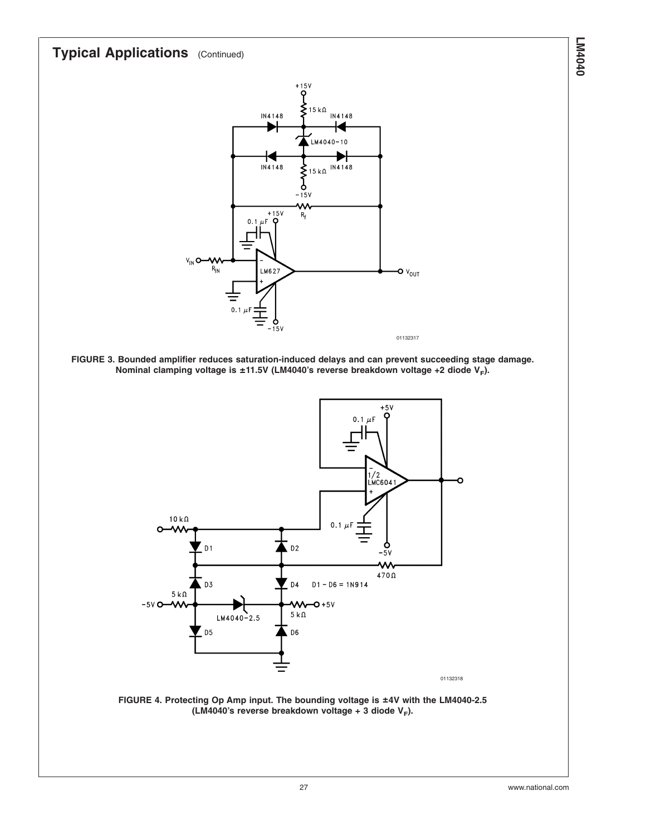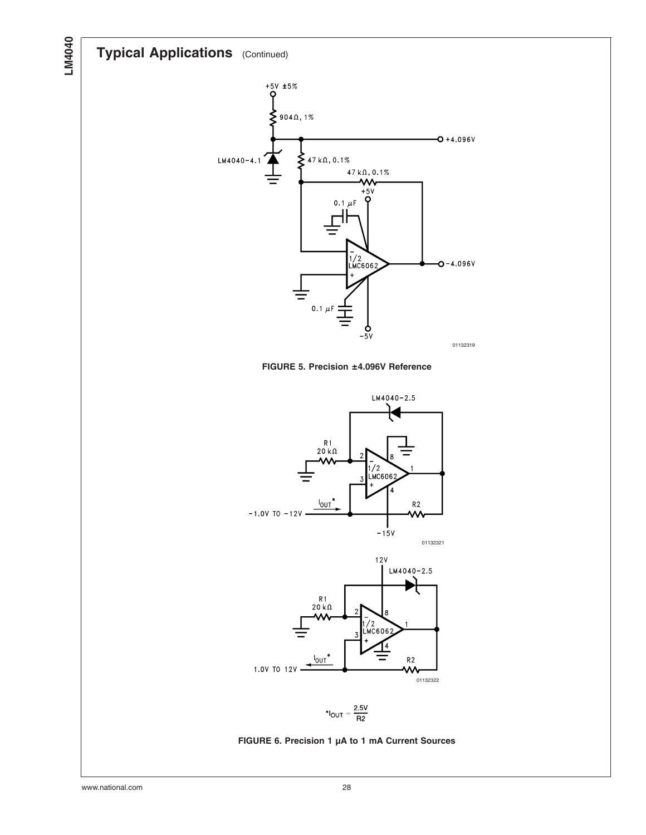## **Typical Applications** (Continued)

**LM4040**



**FIGURE 5. Precision ±4.096V Reference**





$$
^{\ast}I_{OUT}=\frac{2.5V}{R2}
$$

#### **FIGURE 6. Precision 1 µA to 1 mA Current Sources**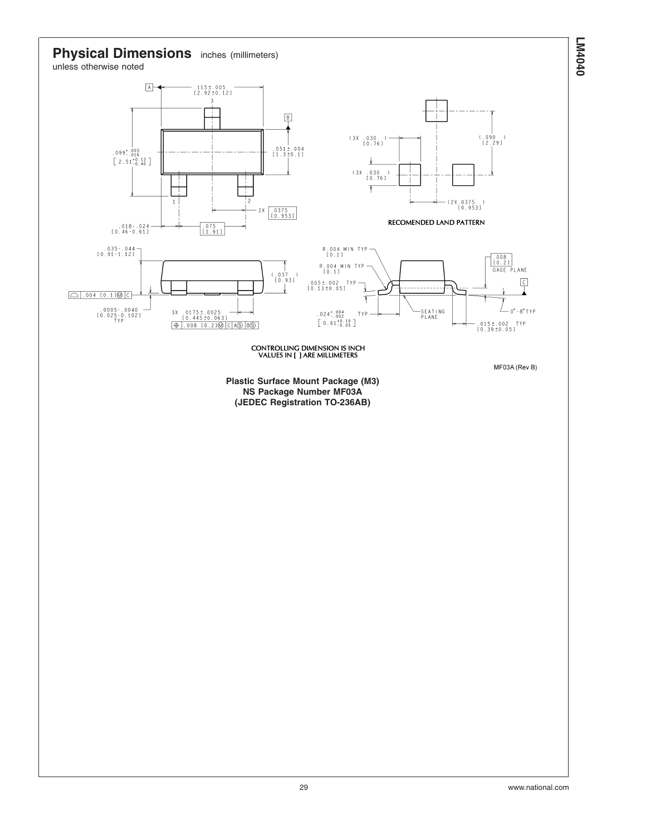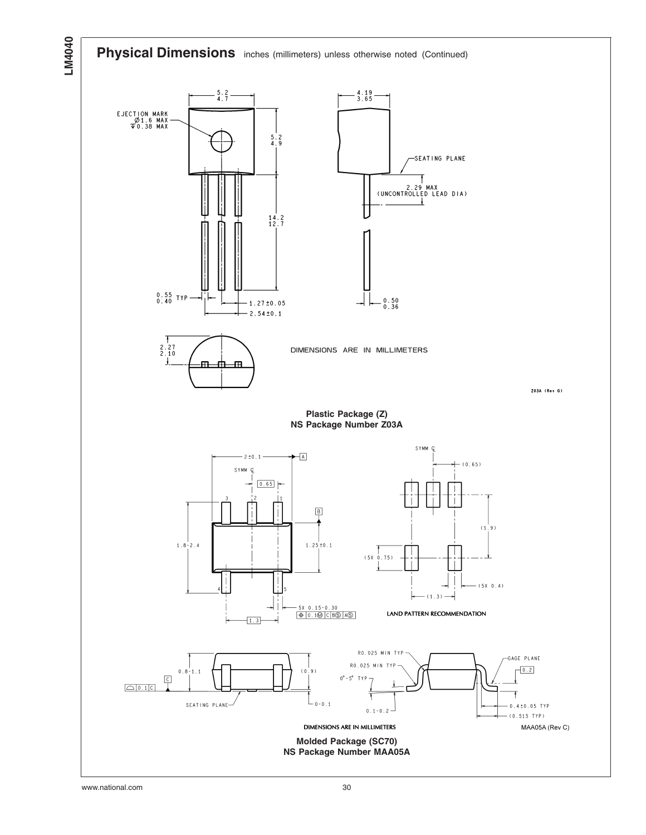